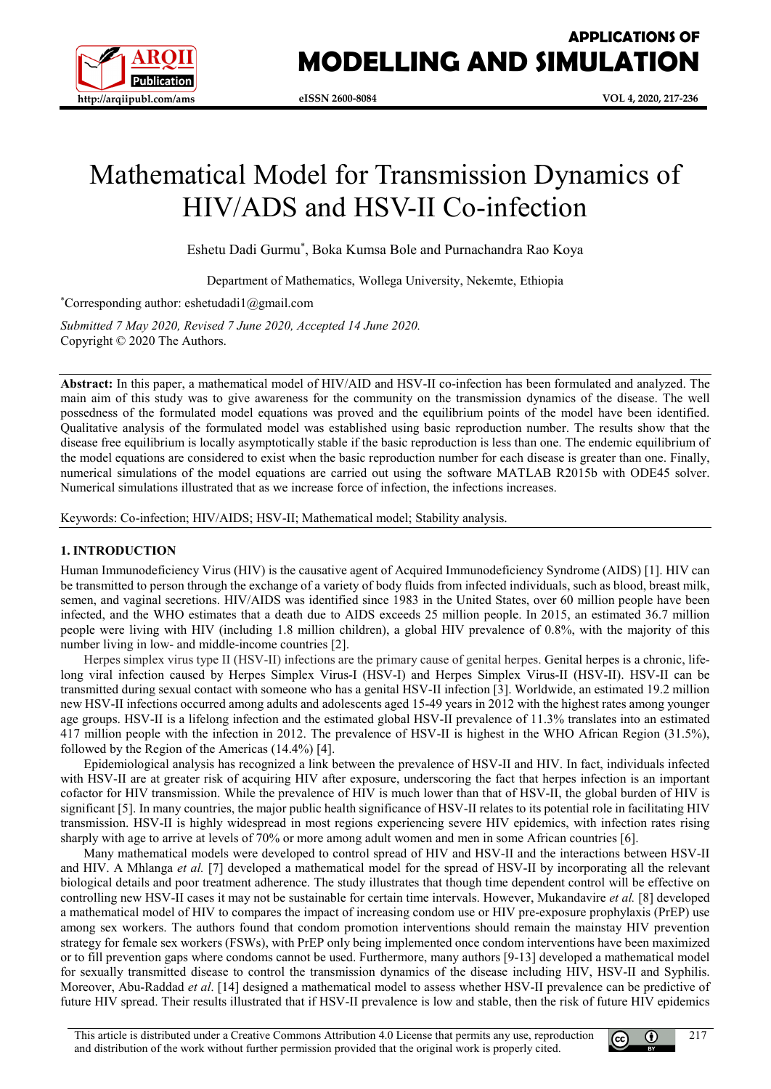

# Mathematical Model for Transmission Dynamics of HIV/ADS and HSV-II Co-infection

Eshetu Dadi Gurmu\* , Boka Kumsa Bole and Purnachandra Rao Koya

Department of Mathematics, Wollega University, Nekemte, Ethiopia

\* Corresponding author: eshetudadi1@gmail.com

*Submitted 7 May 2020, Revised 7 June 2020, Accepted 14 June 2020.* Copyright © 2020 The Authors.

**Abstract:** In this paper, a mathematical model of HIV/AID and HSV-II co-infection has been formulated and analyzed. The main aim of this study was to give awareness for the community on the transmission dynamics of the disease. The well possedness of the formulated model equations was proved and the equilibrium points of the model have been identified. Qualitative analysis of the formulated model was established using basic reproduction number. The results show that the disease free equilibrium is locally asymptotically stable if the basic reproduction is less than one. The endemic equilibrium of the model equations are considered to exist when the basic reproduction number for each disease is greater than one. Finally, numerical simulations of the model equations are carried out using the software MATLAB R2015b with ODE45 solver. Numerical simulations illustrated that as we increase force of infection, the infections increases.

Keywords: Co-infection; HIV/AIDS; HSV-II; Mathematical model; Stability analysis.

## **1. INTRODUCTION**

Human Immunodeficiency Virus (HIV) is the causative agent of Acquired Immunodeficiency Syndrome (AIDS) [1]. HIV can be transmitted to person through the exchange of a variety of body fluids from infected individuals, such as blood, breast milk, semen, and vaginal secretions. HIV/AIDS was identified since 1983 in the United States, over 60 million people have been infected, and the WHO estimates that a death due to AIDS exceeds 25 million people. In 2015, an estimated 36.7 million people were living with HIV (including 1.8 million children), a global HIV prevalence of 0.8%, with the majority of this number living in low- and middle-income countries [2].

Herpes simplex virus type II (HSV-II) infections are the primary cause of genital herpes. Genital herpes is a chronic, lifelong viral infection caused by Herpes Simplex Virus-I (HSV-I) and Herpes Simplex Virus-II (HSV-II). HSV-II can be transmitted during sexual contact with someone who has a genital HSV-II infection [3]. Worldwide, an estimated 19.2 million new HSV-II infections occurred among adults and adolescents aged 15-49 years in 2012 with the highest rates among younger age groups. HSV-II is a lifelong infection and the estimated global HSV-II prevalence of 11.3% translates into an estimated 417 million people with the infection in 2012. The prevalence of HSV-II is highest in the WHO African Region (31.5%), followed by the Region of the Americas (14.4%) [4].

Epidemiological analysis has recognized a link between the prevalence of HSV-II and HIV. In fact, individuals infected with HSV-II are at greater risk of acquiring HIV after exposure, underscoring the fact that herpes infection is an important cofactor for HIV transmission. While the prevalence of HIV is much lower than that of HSV-II, the global burden of HIV is significant [5]. In many countries, the major public health significance of HSV-II relates to its potential role in facilitating HIV transmission. HSV-II is highly widespread in most regions experiencing severe HIV epidemics, with infection rates rising sharply with age to arrive at levels of 70% or more among adult women and men in some African countries [6].

Many mathematical models were developed to control spread of HIV and HSV-II and the interactions between HSV-II and HIV. A Mhlanga *et al.* [7] developed a mathematical model for the spread of HSV-II by incorporating all the relevant biological details and poor treatment adherence. The study illustrates that though time dependent control will be effective on controlling new HSV-II cases it may not be sustainable for certain time intervals. However, Mukandavire *et al.* [8] developed a mathematical model of HIV to compares the impact of increasing condom use or HIV pre-exposure prophylaxis (PrEP) use among sex workers. The authors found that condom promotion interventions should remain the mainstay HIV prevention strategy for female sex workers (FSWs), with PrEP only being implemented once condom interventions have been maximized or to fill prevention gaps where condoms cannot be used. Furthermore, many authors [9-13] developed a mathematical model for sexually transmitted disease to control the transmission dynamics of the disease including HIV, HSV-II and Syphilis. Moreover, Abu-Raddad *et al*. [14] designed a mathematical model to assess whether HSV-II prevalence can be predictive of future HIV spread. Their results illustrated that if HSV-II prevalence is low and stable, then the risk of future HIV epidemics

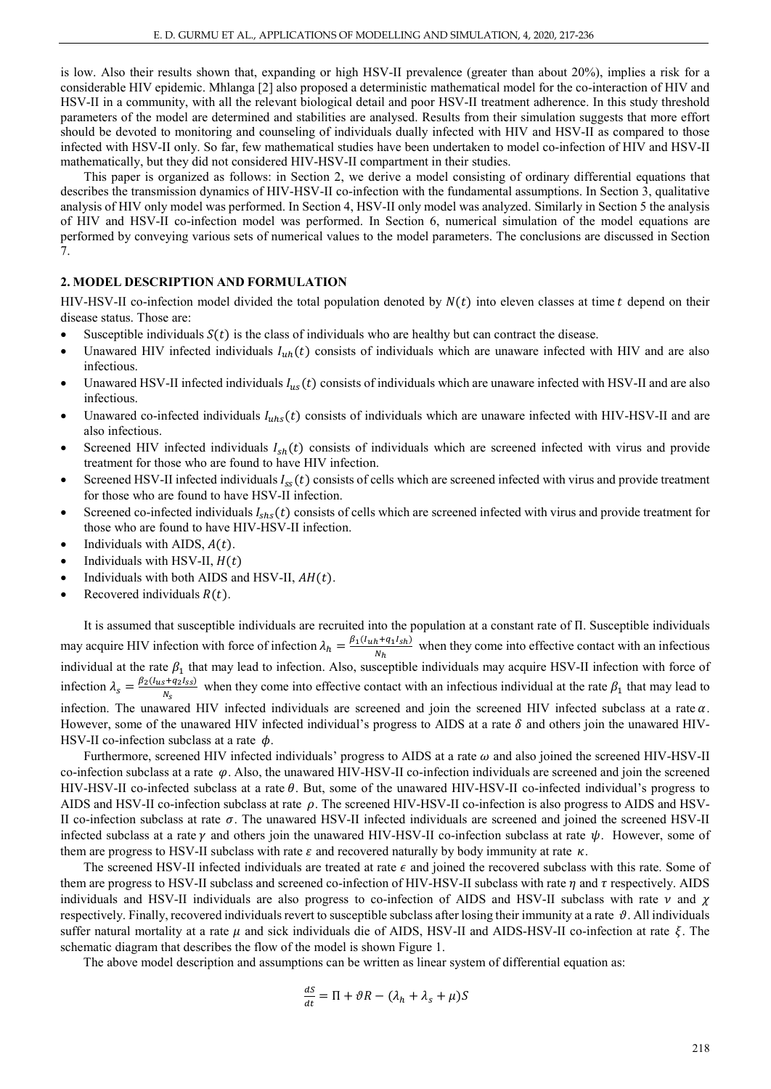is low. Also their results shown that, expanding or high HSV-II prevalence (greater than about 20%), implies a risk for a considerable HIV epidemic. Mhlanga [2] also proposed a deterministic mathematical model for the co-interaction of HIV and HSV-II in a community, with all the relevant biological detail and poor HSV-II treatment adherence. In this study threshold parameters of the model are determined and stabilities are analysed. Results from their simulation suggests that more effort should be devoted to monitoring and counseling of individuals dually infected with HIV and HSV-II as compared to those infected with HSV-II only. So far, few mathematical studies have been undertaken to model co-infection of HIV and HSV-II mathematically, but they did not considered HIV-HSV-II compartment in their studies.

This paper is organized as follows: in Section 2, we derive a model consisting of ordinary differential equations that describes the transmission dynamics of HIV-HSV-II co-infection with the fundamental assumptions. In Section 3, qualitative analysis of HIV only model was performed. In Section 4, HSV-II only model was analyzed. Similarly in Section 5 the analysis of HIV and HSV-II co-infection model was performed. In Section 6, numerical simulation of the model equations are performed by conveying various sets of numerical values to the model parameters. The conclusions are discussed in Section 7.

## **2. MODEL DESCRIPTION AND FORMULATION**

HIV-HSV-II co-infection model divided the total population denoted by  $N(t)$  into eleven classes at time  $t$  depend on their disease status. Those are:

- Susceptible individuals  $S(t)$  is the class of individuals who are healthy but can contract the disease.
- Unawared HIV infected individuals  $I_{uh}(t)$  consists of individuals which are unaware infected with HIV and are also infectious.
- Unawared HSV-II infected individuals  $I_{us}(t)$  consists of individuals which are unaware infected with HSV-II and are also infectious.
- Unawared co-infected individuals  $I_{uhs}(t)$  consists of individuals which are unaware infected with HIV-HSV-II and are also infectious.
- Screened HIV infected individuals  $I_{sh}(t)$  consists of individuals which are screened infected with virus and provide treatment for those who are found to have HIV infection.
- Screened HSV-II infected individuals  $I_{ss}(t)$  consists of cells which are screened infected with virus and provide treatment for those who are found to have HSV-II infection.
- Screened co-infected individuals  $I_{shs}(t)$  consists of cells which are screened infected with virus and provide treatment for those who are found to have HIV-HSV-II infection.
- Individuals with AIDS,  $A(t)$ .
- Individuals with HSV-II,  $H(t)$
- Individuals with both AIDS and HSV-II,  $AH(t)$ .
- Recovered individuals  $R(t)$ .

It is assumed that susceptible individuals are recruited into the population at a constant rate of Π. Susceptible individuals may acquire HIV infection with force of infection  $\lambda_h = \frac{\beta_1 (l_{uh} + q_1 I_{sh})}{N_h}$  when they come into effective contact with an infectious individual at the rate  $\beta_1$  that may lead to infection. Also, susceptible individuals may acquire HSV-II infection with force of infection  $\lambda_s = \frac{\beta_2 (l_{us} + q_2 l_{ss})}{N_s}$  when they come into effective contact with an infectious individual at the rate  $\beta_1$  that may lead to infection. The unawared HIV infected individuals are screened and join the screened HIV infected subclass at a rate  $\alpha$ . However, some of the unawared HIV infected individual's progress to AIDS at a rate  $\delta$  and others join the unawared HIV-HSV-II co-infection subclass at a rate  $\phi$ .

Furthermore, screened HIV infected individuals' progress to AIDS at a rate  $\omega$  and also joined the screened HIV-HSV-II co-infection subclass at a rate  $\varphi$ . Also, the unawared HIV-HSV-II co-infection individuals are screened and join the screened HIV-HSV-II co-infected subclass at a rate  $\theta$ . But, some of the unawared HIV-HSV-II co-infected individual's progress to AIDS and HSV-II co-infection subclass at rate  $\rho$ . The screened HIV-HSV-II co-infection is also progress to AIDS and HSV-II co-infection subclass at rate  $\sigma$ . The unawared HSV-II infected individuals are screened and joined the screened HSV-II infected subclass at a rate  $\gamma$  and others join the unawared HIV-HSV-II co-infection subclass at rate  $\psi$ . However, some of them are progress to HSV-II subclass with rate  $\varepsilon$  and recovered naturally by body immunity at rate  $\kappa$ .

The screened HSV-II infected individuals are treated at rate  $\epsilon$  and joined the recovered subclass with this rate. Some of them are progress to HSV-II subclass and screened co-infection of HIV-HSV-II subclass with rate  $\eta$  and  $\tau$  respectively. AIDS individuals and HSV-II individuals are also progress to co-infection of AIDS and HSV-II subclass with rate  $\nu$  and  $\gamma$ respectively. Finally, recovered individuals revert to susceptible subclass after losing their immunity at a rate  $\vartheta$ . All individuals suffer natural mortality at a rate  $\mu$  and sick individuals die of AIDS, HSV-II and AIDS-HSV-II co-infection at rate  $\xi$ . The schematic diagram that describes the flow of the model is shown Figure 1.

The above model description and assumptions can be written as linear system of differential equation as:

$$
\frac{dS}{dt} = \Pi + \vartheta R - (\lambda_h + \lambda_s + \mu)S
$$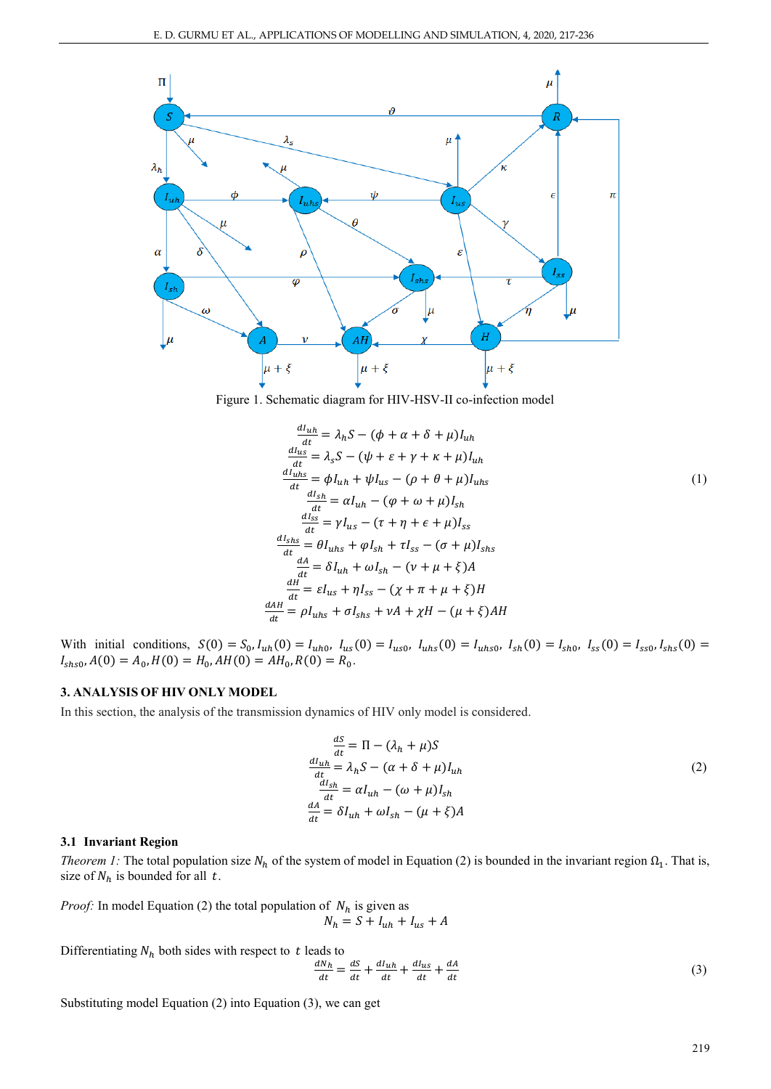

Figure 1. Schematic diagram for HIV-HSV-II co-infection model

$$
\frac{dI_{uh}}{dt} = \lambda_h S - (\phi + \alpha + \delta + \mu)I_{uh}
$$
\n
$$
\frac{dI_{us}}{dt} = \lambda_s S - (\psi + \varepsilon + \gamma + \kappa + \mu)I_{uh}
$$
\n
$$
\frac{dI_{uhs}}{dt} = \phi I_{uh} + \psi I_{us} - (\rho + \theta + \mu)I_{uhs}
$$
\n
$$
\frac{dI_{sh}}{dt} = \alpha I_{uh} - (\phi + \omega + \mu)I_{sh}
$$
\n
$$
\frac{dI_{ss}}{dt} = \gamma I_{us} - (\tau + \eta + \varepsilon + \mu)I_{ss}
$$
\n
$$
\frac{dI_{shs}}{dt} = \theta I_{uhs} + \phi I_{sh} + \tau I_{ss} - (\sigma + \mu)I_{shs}
$$
\n
$$
\frac{dA}{dt} = \delta I_{uh} + \omega I_{sh} - (\nu + \mu + \xi)A
$$
\n
$$
\frac{dH}{dt} = \varepsilon I_{us} + \eta I_{ss} - (\chi + \pi + \mu + \xi)H
$$
\n
$$
\frac{dA}{dt} = \rho I_{uhs} + \sigma I_{shs} + \nu A + \chi H - (\mu + \xi)AH
$$

With initial conditions,  $S(0) = S_0$ ,  $I_{uh}(0) = I_{uh0}$ ,  $I_{us}(0) = I_{us0}$ ,  $I_{uhs}(0) = I_{uhs0}$ ,  $I_{sh}(0) = I_{sh0}$ ,  $I_{ss}(0) = I_{ss0}$ ,  $I_{shs}(0) = I_{shs}(0)$  $I_{shso}$ ,  $A(0) = A_0$ ,  $H(0) = H_0$ ,  $AH(0) = AH_0$ ,  $R(0) = R_0$ .

# **3. ANALYSIS OF HIV ONLY MODEL**

In this section, the analysis of the transmission dynamics of HIV only model is considered.

$$
\frac{dS}{dt} = \Pi - (\lambda_h + \mu)S
$$
  
\n
$$
\frac{dI_{uh}}{dt} = \lambda_h S - (\alpha + \delta + \mu)I_{uh}
$$
  
\n
$$
\frac{dI_{sh}}{dt} = \alpha I_{uh} - (\omega + \mu)I_{sh}
$$
  
\n
$$
\frac{dA}{dt} = \delta I_{uh} + \omega I_{sh} - (\mu + \xi)A
$$
\n(2)

## **3.1 Invariant Region**

*Theorem 1:* The total population size  $N_h$  of the system of model in Equation (2) is bounded in the invariant region  $\Omega_1$ . That is, size of  $N_h$  is bounded for all t.

*Proof:* In model Equation (2) the total population of  $N_h$  is given as  $N_h = S + I_{uh} + I_{us} + A$ 

Differentiating  $N_h$  both sides with respect to t leads to

$$
\frac{dN_h}{dt} = \frac{ds}{dt} + \frac{dI_{uh}}{dt} + \frac{dI_{us}}{dt} + \frac{dA}{dt}
$$
 (3)

Substituting model Equation (2) into Equation (3), we can get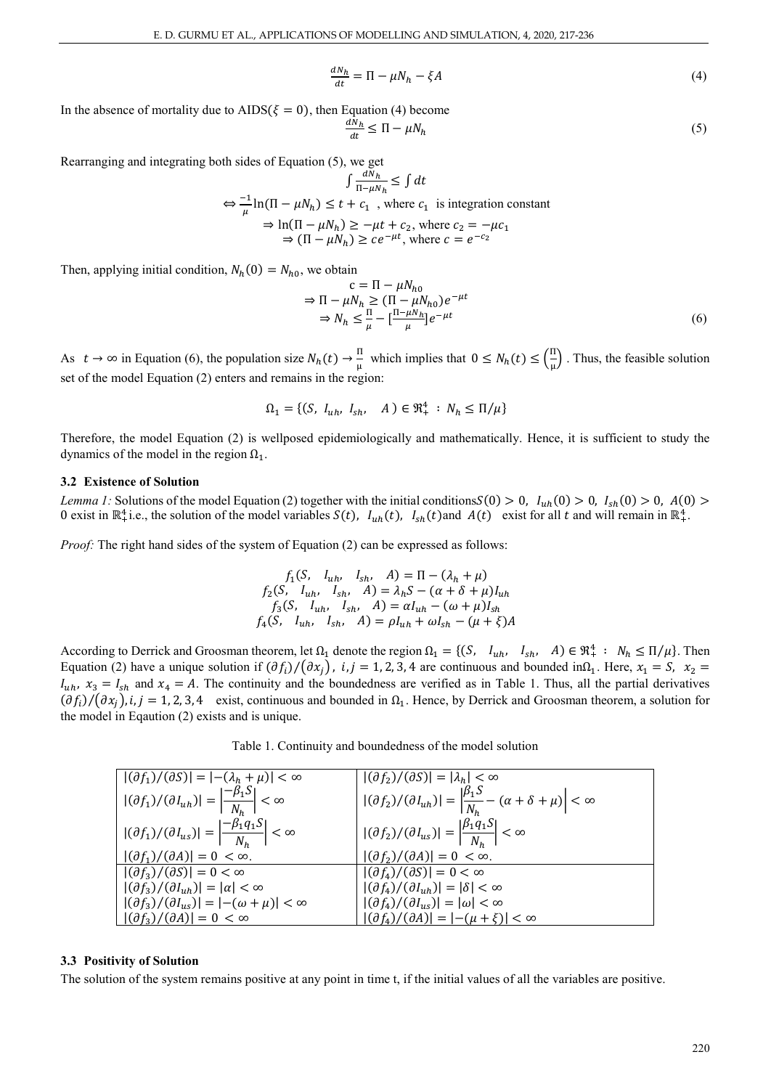$$
\frac{dN_h}{dt} = \Pi - \mu N_h - \xi A \tag{4}
$$

In the absence of mortality due to  $AIDS(\xi = 0)$ , then Equation (4) become  $\frac{dN_h}{dt} \le \Pi - \mu N_h$  (5)

Rearranging and integrating both sides of Equation (5), we get

$$
\int \frac{dN_h}{\Pi - \mu N_h} \le \int dt
$$
  
\n
$$
\Leftrightarrow \frac{-1}{\mu} \ln(\Pi - \mu N_h) \le t + c_1
$$
, where  $c_1$  is integration constant  
\n
$$
\Rightarrow \ln(\Pi - \mu N_h) \ge -\mu t + c_2
$$
, where  $c_2 = -\mu c_1$   
\n
$$
\Rightarrow (\Pi - \mu N_h) \ge ce^{-\mu t}
$$
, where  $c = e^{-c_2}$ 

Then, applying initial condition,  $N_h(0) = N_{h0}$ , we obtain

$$
c = \Pi - \mu N_{h0}
$$
  
\n
$$
\Rightarrow \Pi - \mu N_h \ge (\Pi - \mu N_{h0})e^{-\mu t}
$$
  
\n
$$
\Rightarrow N_h \le \frac{\Pi}{\mu} - [\frac{\Pi - \mu N_h}{\mu}]e^{-\mu t}
$$
 (6)

As  $t \to \infty$  in Equation (6), the population size  $N_h(t) \to \frac{11}{\mu}$  which implies that  $0 \le N_h(t) \le (\frac{11}{\mu})$  $\frac{1}{\mu}$ . Thus, the feasible solution set of the model Equation (2) enters and remains in the region:

$$
\Omega_1 = \{ (S, I_{uh}, I_{sh}, A) \in \mathfrak{R}_+^4 : N_h \le \Pi/\mu \}
$$

Therefore, the model Equation (2) is wellposed epidemiologically and mathematically. Hence, it is sufficient to study the dynamics of the model in the region  $\Omega_1$ .

## **3.2 Existence of Solution**

*Lemma 1:* Solutions of the model Equation (2) together with the initial conditions  $S(0) > 0$ ,  $I_{uh}(0) > 0$ ,  $I_{sh}(0) > 0$ ,  $A(0) >$ 0 exist in  $\mathbb{R}^4_+$  i.e., the solution of the model variables  $S(t)$ ,  $I_{uh}(t)$ ,  $I_{sh}(t)$  and  $A(t)$  exist for all t and will remain in  $\mathbb{R}^4_+$ .

*Proof:* The right hand sides of the system of Equation (2) can be expressed as follows:

$$
f_1(S, I_{uh}, I_{sh}, A) = \Pi - (\lambda_h + \mu)
$$
  
\n
$$
f_2(S, I_{uh}, I_{sh}, A) = \lambda_h S - (\alpha + \delta + \mu)I_{uh}
$$
  
\n
$$
f_3(S, I_{uh}, I_{sh}, A) = \alpha I_{uh} - (\omega + \mu)I_{sh}
$$
  
\n
$$
f_4(S, I_{uh}, I_{sh}, A) = \rho I_{uh} + \omega I_{sh} - (\mu + \xi)A
$$

According to Derrick and Groosman theorem, let  $\Omega_1$  denote the region  $\Omega_1 = \{(S, I_{uh}, I_{sh}, A) \in \mathbb{R}^4_+ : N_h \leq \Pi/\mu\}$ . Then Equation (2) have a unique solution if  $(\partial f_i)/(\partial x_i)$ ,  $i, j = 1, 2, 3, 4$  are continuous and bounded in $\Omega_1$ . Here,  $x_1 = S$ ,  $x_2 =$  $I_{uh}$ ,  $x_3 = I_{sh}$  and  $x_4 = A$ . The continuity and the boundedness are verified as in Table 1. Thus, all the partial derivatives  $(\partial f_i)/(\partial x_i)$ , i, j = 1, 2, 3, 4 exist, continuous and bounded in  $\Omega_1$ . Hence, by Derrick and Groosman theorem, a solution for the model in Eqaution (2) exists and is unique.

Table 1. Continuity and boundedness of the model solution

| $ \left  (\partial f_1)/(\partial S) \right  =  -(\lambda_h + \mu)  < \infty$           | $ (\partial f_2)/(\partial S)  =  \lambda_h  < \infty$                                                       |
|-----------------------------------------------------------------------------------------|--------------------------------------------------------------------------------------------------------------|
| $ (\partial f_1)/(\partial I_{uh})  = \left \frac{-\beta_1 S}{N_h}\right  < \infty$     | $ (\partial f_2)/(\partial I_{uh})  = \left \frac{\beta_1 S}{N_h} - (\alpha + \delta + \mu)\right  < \infty$ |
| $ (\partial f_1)/(\partial I_{us})  = \left \frac{-\beta_1 q_1 S}{N_h}\right  < \infty$ | $   (\partial f_2)/(\partial I_{us})  = \left  \frac{\beta_1 q_1 S}{N_h} \right  < \infty$                   |
| $ \left( \frac{\partial f_1}{\partial A} \right)  = 0 < \infty.$                        | $ (\partial f_2)/(\partial A)  = 0 < \infty.$                                                                |
| $ \left( \frac{\partial f_3}{\partial S} \right)  = 0 < \infty$                         | $ (\partial f_4)/(\partial S)  = 0 < \infty$                                                                 |
| $ \left (\partial f_3)/(\partial I_{uh})\right  =  \alpha  < \infty$                    | $ (\partial f_4)/(\partial I_{uh})  =  \delta  < \infty$                                                     |
| $   (\partial f_3)/(\partial I_{us})  =  -(\omega + \mu)  < \infty$                     | $ (\partial f_4)/(\partial I_{us})  =  \omega  < \infty$                                                     |
| $ \left(\partial f_3\right)/(\partial A) =0 < \infty$                                   | $ (\partial f_4)/(\partial A)  =  -(\mu + \xi)  < \infty$                                                    |

## **3.3 Positivity of Solution**

The solution of the system remains positive at any point in time t, if the initial values of all the variables are positive.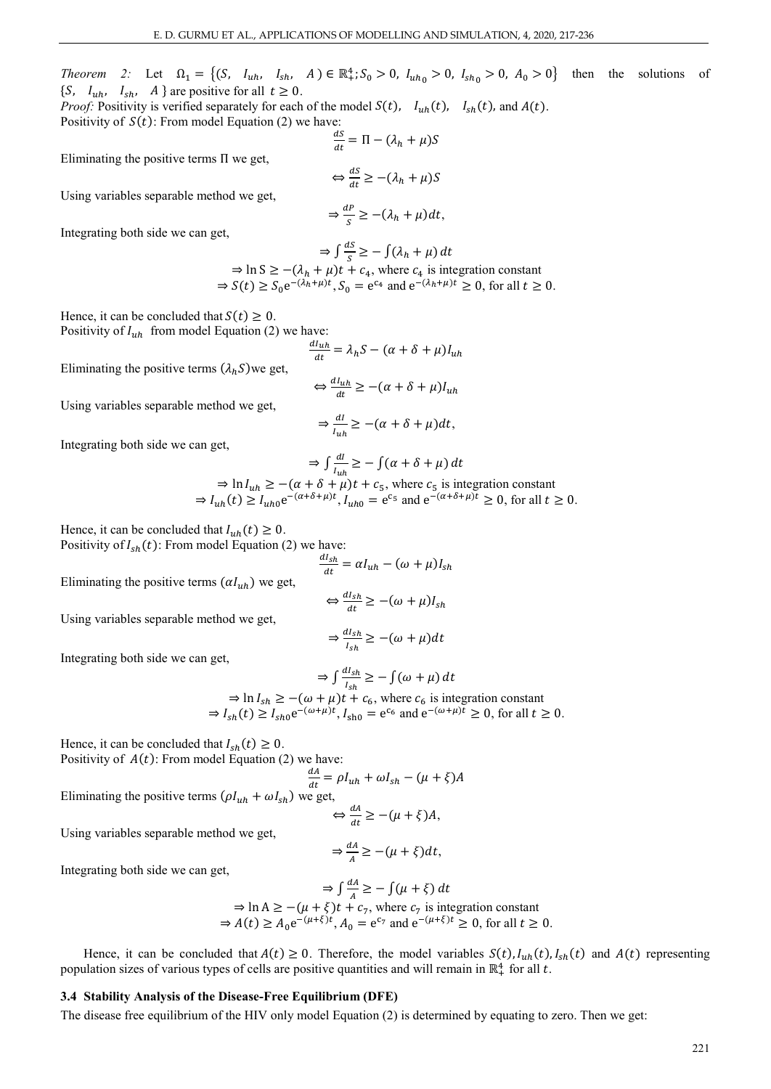*Theorem 2:* Let  $\Omega_1 = \{ (S, I_{uh}, I_{sh}, A) \in \mathbb{R}_+^4; S_0 > 0, I_{uh} > 0, I_{sh} > 0, A_0 > 0 \}$  then the solutions of { $S, I_{uh}, I_{sh}, A$ } are positive for all  $t \ge 0$ .

*Proof:* Positivity is verified separately for each of the model  $S(t)$ ,  $I_{uh}(t)$ ,  $I_{sh}(t)$ , and  $A(t)$ . Positivity of  $S(t)$ : From model Equation (2) we have:

Eliminating the positive terms Π we get,

$$
\Leftrightarrow \frac{dS}{dt} \ge -(\lambda_h + \mu)S
$$

 $\frac{ds}{dt} = \Pi - (\lambda_h + \mu)S$ 

Using variables separable method we get,

$$
\Rightarrow \frac{dP}{s} \ge -(\lambda_h + \mu)dt,
$$

Integrating both side we can get,

$$
\Rightarrow \int \frac{ds}{s} \ge -\int (\lambda_h + \mu) dt
$$
  
\n
$$
\Rightarrow \ln S \ge -(\lambda_h + \mu)t + c_4, \text{ where } c_4 \text{ is integration constant}
$$
  
\n
$$
\Rightarrow S(t) \ge S_0 e^{-(\lambda_h + \mu)t}, S_0 = e^{c_4} \text{ and } e^{-(\lambda_h + \mu)t} \ge 0, \text{ for all } t \ge 0.
$$

Hence, it can be concluded that  $S(t) \geq 0$ . Positivity of  $I_{uh}$  from model Equation (2) we have:

$$
\frac{dI_{uh}}{dt} = \lambda_h S - (\alpha + \delta + \mu) I_{uh}
$$

Eliminating the positive terms  $(\lambda_h S)$ we get,

$$
\Leftrightarrow \frac{dI_{uh}}{dt} \ge -(\alpha + \delta + \mu)I_{uh}
$$

Using variables separable method we get,  

$$
\Rightarrow \frac{dI}{I_{\mu h}} \ge -(\alpha + \delta + \mu)dt,
$$

Integrating both side we can get,

$$
\Rightarrow \int \frac{dl}{l_{uh}} \ge -\int (\alpha + \delta + \mu) dt
$$

 $\Rightarrow \ln I_{uh} \ge -(\alpha + \delta + \mu)t + c_5$ , where  $c_5$  is integration constant  $\Rightarrow I_{uh}(t) \ge I_{uh0} e^{-(\alpha + \delta + \mu)t}$ ,  $I_{uh0} = e^{c_5}$  and  $e^{-(\alpha + \delta + \mu)t} \ge 0$ , for all  $t \ge 0$ .

Hence, it can be concluded that  $I_{uh}(t) \geq 0$ . Positivity of  $I_{sh}(t)$ : From model Equation (2) we have:

Eliminating the positive terms  $(\alpha I_{uh})$  we get,

$$
\frac{dI_{sh}}{dt} = \alpha I_{uh} - (\omega + \mu)I_{sh}
$$

$$
\Leftrightarrow \frac{dI_{sh}}{dt} \ge -(\omega + \mu)I_{sh}
$$

Using variables separable method we get,

$$
\Rightarrow \frac{dI_{sh}}{I_{sh}} \ge -(\omega + \mu)dt
$$

Integrating both side we can get,

$$
\Rightarrow \int \frac{u_{sh}}{I_{sh}} \ge -\int (\omega + \mu) dt
$$
  
\n
$$
\Rightarrow \ln I_{sh} \ge -(\omega + \mu)t + c_6, \text{ where } c_6 \text{ is integration constant}
$$
  
\n
$$
\Rightarrow I_{sh}(t) \ge I_{sh0} e^{-(\omega + \mu)t}, I_{sh0} = e^{c_6} \text{ and } e^{-(\omega + \mu)t} \ge 0, \text{ for all } t \ge 0.
$$

 $\sim dL$ 

Hence, it can be concluded that  $I_{sh}(t) \ge 0$ .

Positivity of 
$$
A(t)
$$
: From model Equation (2) we have:

$$
\frac{dA}{dt} = \rho I_{uh} + \omega I_{sh} - (\mu + \xi)A
$$

Eliminating the positive terms  $(\rho I_{uh} + \omega I_{sh})$  we get,

$$
\Leftrightarrow \frac{dA}{dt} \ge -(\mu + \xi)A,
$$
  

$$
\frac{dA}{dt} = -\frac{1}{2} \sum_{n=1}^{\infty} \frac{1}{n^2} \sum_{n=1}^{\infty} \frac{1}{n^2} \frac{1}{n^2} \frac{1}{n^2}
$$

$$
\Rightarrow \frac{dA}{A} \ge -(\mu + \xi)dt,
$$

Integrating both side we can get,

Using variables separable method we get,

$$
\Rightarrow \int \frac{dA}{A} \ge -\int (\mu + \xi) dt
$$
  
\n
$$
\Rightarrow \ln A \ge -(\mu + \xi)t + c_7, \text{ where } c_7 \text{ is integration constant}
$$
  
\n
$$
\Rightarrow A(t) \ge A_0 e^{-(\mu + \xi)t}, A_0 = e^{c_7} \text{ and } e^{-(\mu + \xi)t} \ge 0, \text{ for all } t \ge 0.
$$

Hence, it can be concluded that  $A(t) \ge 0$ . Therefore, the model variables  $S(t)$ ,  $I_{uh}(t)$ ,  $I_{sh}(t)$  and  $A(t)$  representing population sizes of various types of cells are positive quantities and will remain in  $\mathbb{R}^4_+$  for all t.

## **3.4 Stability Analysis of the Disease-Free Equilibrium (DFE)**

The disease free equilibrium of the HIV only model Equation (2) is determined by equating to zero. Then we get: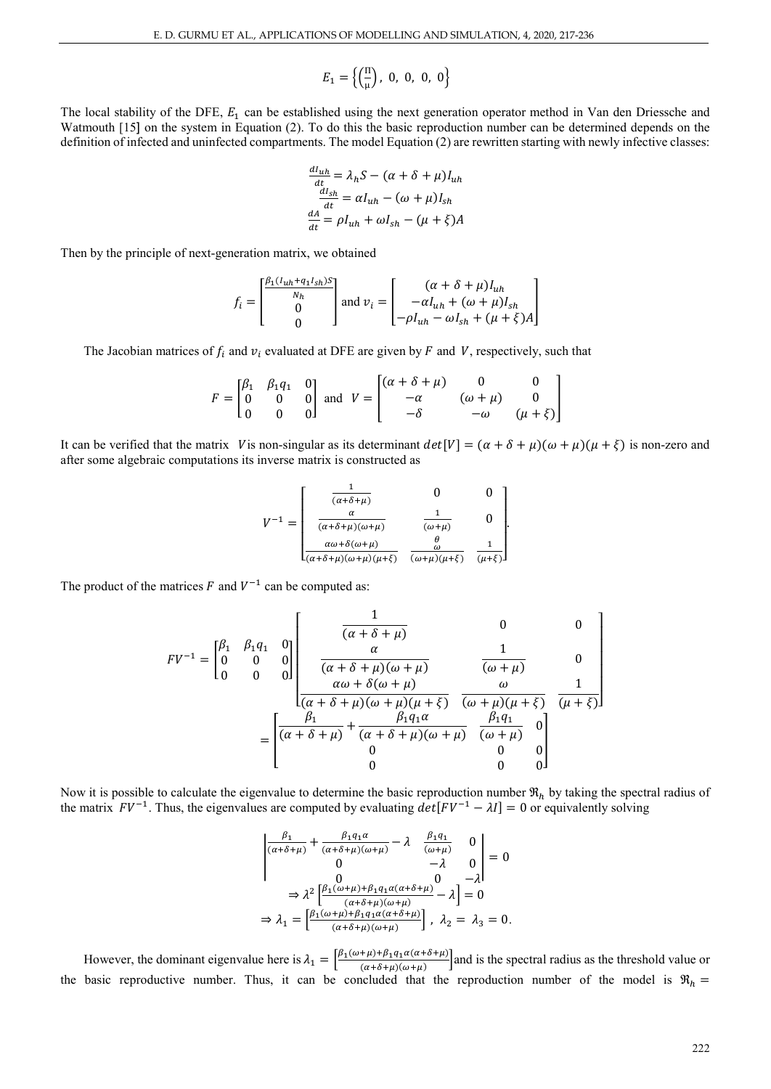$$
E_1 = \left\{ \left( \frac{\Pi}{\mu} \right), \ 0, \ 0, \ 0, \ 0 \right\}
$$

The local stability of the DFE,  $E_1$  can be established using the next generation operator method in Van den Driessche and Watmouth [15] on the system in Equation (2). To do this the basic reproduction number can be determined depends on the definition of infected and uninfected compartments. The model Equation (2) are rewritten starting with newly infective classes:

$$
\frac{dI_{uh}}{dt} = \lambda_h S - (\alpha + \delta + \mu)I_{uh}
$$

$$
\frac{dI_{sh}}{dt} = \alpha I_{uh} - (\omega + \mu)I_{sh}
$$

$$
\frac{dA}{dt} = \rho I_{uh} + \omega I_{sh} - (\mu + \xi)A
$$

Then by the principle of next-generation matrix, we obtained

$$
f_i = \begin{bmatrix} \frac{\beta_1 (l_{uh} + q_1 I_{sh})S}{N_h} \\ 0 \\ 0 \end{bmatrix}
$$
 and  $v_i = \begin{bmatrix} (\alpha + \delta + \mu) I_{uh} \\ -\alpha I_{uh} + (\omega + \mu) I_{sh} \\ -\rho I_{uh} - \omega I_{sh} + (\mu + \xi) A \end{bmatrix}$ 

The Jacobian matrices of  $f_i$  and  $v_i$  evaluated at DFE are given by F and V, respectively, such that

$$
F = \begin{bmatrix} \beta_1 & \beta_1 q_1 & 0 \\ 0 & 0 & 0 \\ 0 & 0 & 0 \end{bmatrix} \text{ and } V = \begin{bmatrix} (\alpha + \delta + \mu) & 0 & 0 \\ -\alpha & (\omega + \mu) & 0 \\ -\delta & -\omega & (\mu + \xi) \end{bmatrix}
$$

It can be verified that the matrix V is non-singular as its determinant  $det[V] = (\alpha + \delta + \mu)(\omega + \mu)(\mu + \xi)$  is non-zero and after some algebraic computations its inverse matrix is constructed as

$$
V^{-1} = \begin{bmatrix} \frac{1}{(\alpha + \delta + \mu)} & 0 & 0\\ \frac{\alpha}{(\alpha + \delta + \mu)(\omega + \mu)} & \frac{1}{(\omega + \mu)} & 0\\ \frac{\alpha \omega + \delta(\omega + \mu)}{(\alpha + \delta + \mu)(\omega + \mu)(\mu + \xi)} & \frac{\theta}{(\omega + \mu)(\mu + \xi)} & \frac{1}{(\mu + \xi)} \end{bmatrix}
$$

The product of the matrices  $F$  and  $V^{-1}$  can be computed as:

$$
FV^{-1} = \begin{bmatrix} \beta_1 & \beta_1 q_1 & 0 \\ 0 & 0 & 0 \\ 0 & 0 & 0 \end{bmatrix} \begin{bmatrix} \frac{1}{(\alpha + \delta + \mu)} & 0 & 0 \\ \frac{\alpha}{(\alpha + \delta + \mu)(\omega + \mu)} & \frac{1}{(\omega + \mu)} & 0 \\ \frac{\alpha \omega + \delta(\omega + \mu)}{(\alpha + \delta + \mu)(\omega + \mu)(\mu + \xi)} & \frac{\omega}{(\omega + \mu)(\mu + \xi)} & \frac{1}{(\mu + \xi)} \end{bmatrix}
$$

$$
= \begin{bmatrix} \frac{\beta_1}{(\alpha + \delta + \mu)} + \frac{\beta_1 q_1 \alpha}{(\alpha + \delta + \mu)(\omega + \mu)} & \frac{\beta_1 q_1}{(\omega + \mu)} & 0 \\ 0 & 0 & 0 & 0 \\ 0 & 0 & 0 & 0 \end{bmatrix}
$$

Now it is possible to calculate the eigenvalue to determine the basic reproduction number  $\Re_h$  by taking the spectral radius of the matrix  $FV^{-1}$ . Thus, the eigenvalues are computed by evaluating  $det[FV^{-1} - \lambda I] = 0$  or equivalently solving

$$
\begin{vmatrix}\n\frac{\beta_1}{(\alpha+\delta+\mu)} + \frac{\beta_1 q_1 \alpha}{(\alpha+\delta+\mu)(\omega+\mu)} - \lambda & \frac{\beta_1 q_1}{(\omega+\mu)} & 0 \\
0 & -\lambda & 0 \\
0 & 0 & -\lambda\n\end{vmatrix} = 0
$$
  
\n
$$
\Rightarrow \lambda^2 \left[ \frac{\beta_1(\omega+\mu) + \beta_1 q_1 \alpha(\alpha+\delta+\mu)}{(\alpha+\delta+\mu)(\omega+\mu)} - \lambda \right] = 0
$$
  
\n
$$
\Rightarrow \lambda_1 = \left[ \frac{\beta_1(\omega+\mu) + \beta_1 q_1 \alpha(\alpha+\delta+\mu)}{(\alpha+\delta+\mu)(\omega+\mu)} \right], \lambda_2 = \lambda_3 = 0.
$$

However, the dominant eigenvalue here is  $\lambda_1 = \left[\frac{\beta_1(\omega+\mu)+\beta_1q_1\alpha(\alpha+\delta+\mu)}{(\alpha+\delta+\mu)(\omega+\mu)}\right]$  and is the spectral radius as the threshold value or the basic reproductive number. Thus, it can be concluded that the reproduction number of the model is  $\Re_h$  =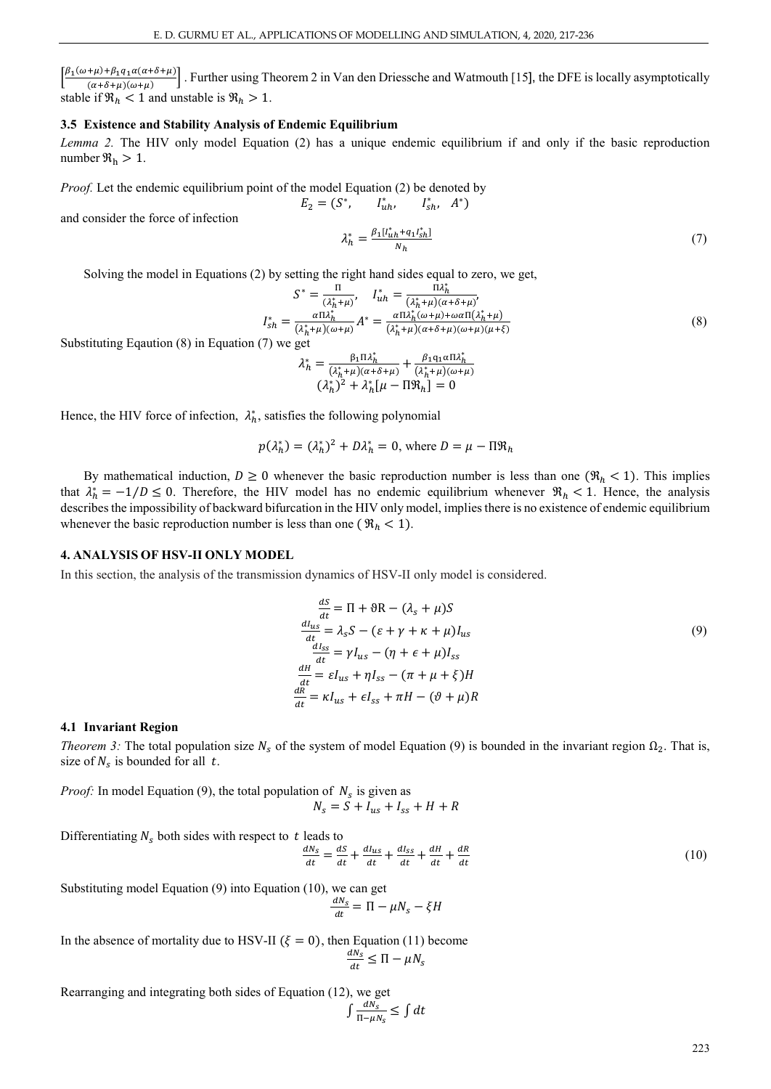$\left[\frac{\beta_1(\omega+\mu)+\beta_1q_1\alpha(\alpha+\delta+\mu)}{(\alpha+\delta+\mu)(\omega+\mu)}\right]$ . Further using Theorem 2 in Van den Driessche and Watmouth [15], the DFE is locally asymptotically stable if  $\Re_h < 1$  and unstable is  $\Re_h > 1$ .

## **3.5 Existence and Stability Analysis of Endemic Equilibrium**

*Lemma 2.* The HIV only model Equation (2) has a unique endemic equilibrium if and only if the basic reproduction number  $\Re_h > 1$ .

 $E_2 = (S^*, \tI_{uh}^*, \tI_{sh}^*, A^*)$ 

*Proof.* Let the endemic equilibrium point of the model Equation (2) be denoted by

and consider the force of infection

$$
\lambda_h^* = \frac{\beta_1 [I_{uh}^* + q_1 I_{sh}^*]}{N_h} \tag{7}
$$

Solving the model in Equations (2) by setting the right hand sides equal to zero, we get,

$$
S^* = \frac{\Pi}{(\lambda_h^* + \mu)}, \quad I_{uh}^* = \frac{\Pi \lambda_h^*}{(\lambda_h^* + \mu)(\alpha + \delta + \mu)},
$$
  

$$
I_{sh}^* = \frac{\alpha \Pi \lambda_h^*}{(\lambda_h^* + \mu)(\omega + \mu)} A^* = \frac{\alpha \Pi \lambda_h^* (\omega + \mu) + \omega \alpha \Pi(\lambda_h^* + \mu)}{(\lambda_h^* + \mu)(\alpha + \delta + \mu)(\omega + \mu)(\mu + \xi)}
$$
(8)

Substituting Eqaution (8) in Equation (7) we get

$$
\lambda_h^* = \frac{\beta_1 \Pi \lambda_h^*}{(\lambda_h^* + \mu)(\alpha + \delta + \mu)} + \frac{\beta_1 \mathbf{q}_1 \alpha \Pi \lambda_h^*}{(\lambda_h^* + \mu)(\omega + \mu)}
$$
  

$$
(\lambda_h^*)^2 + \lambda_h^* [\mu - \Pi \mathfrak{R}_h] = 0
$$

Hence, the HIV force of infection,  $\lambda_h^*$ , satisfies the following polynomial

$$
p(\lambda_h^*) = (\lambda_h^*)^2 + D\lambda_h^* = 0
$$
, where  $D = \mu - \Pi \mathfrak{R}_h$ 

By mathematical induction,  $D \ge 0$  whenever the basic reproduction number is less than one  $(\mathcal{R}_h < 1)$ . This implies that  $\lambda_h^* = -1/D \le 0$ . Therefore, the HIV model has no endemic equilibrium whenever  $\Re_h < 1$ . Hence, the analysis describes the impossibility of backward bifurcation in the HIV only model, implies there is no existence of endemic equilibrium whenever the basic reproduction number is less than one ( $\Re_h$  < 1).

#### **4. ANALYSIS OF HSV-II ONLY MODEL**

In this section, the analysis of the transmission dynamics of HSV-II only model is considered.

$$
\frac{dS}{dt} = \Pi + \vartheta R - (\lambda_s + \mu)S
$$
  
\n
$$
\frac{dI_{us}}{dt} = \lambda_s S - (\varepsilon + \gamma + \kappa + \mu)I_{us}
$$
  
\n
$$
\frac{dI_{ss}}{dt} = \gamma I_{us} - (\eta + \varepsilon + \mu)I_{ss}
$$
  
\n
$$
\frac{dH}{dt} = \varepsilon I_{us} + \eta I_{ss} - (\pi + \mu + \xi)H
$$
  
\n
$$
\frac{dR}{dt} = \kappa I_{us} + \varepsilon I_{ss} + \pi H - (\vartheta + \mu)R
$$

#### **4.1 Invariant Region**

*Theorem 3:* The total population size  $N_s$  of the system of model Equation (9) is bounded in the invariant region  $\Omega_2$ . That is, size of  $N_s$  is bounded for all t.

*Proof:* In model Equation (9), the total population of  $N_s$  is given as  $N_s = S + I_{us} + I_{ss} + H + R$ 

Differentiating  $N_s$  both sides with respect to t leads to

$$
\frac{dN_S}{dt} = \frac{dS}{dt} + \frac{dI_{us}}{dt} + \frac{dI_{SS}}{dt} + \frac{dH}{dt} + \frac{dR}{dt}
$$
\n(10)

Substituting model Equation (9) into Equation (10), we can get

$$
\frac{dN_S}{dt} = \Pi - \mu N_S - \xi H
$$

In the absence of mortality due to HSV-II ( $\xi = 0$ ), then Equation (11) become  $\frac{dN_s}{dt} \leq \Pi - \mu N$ 

Rearranging and integrating both sides of Equation (12), we get

$$
\int \frac{dN_S}{\Pi - \mu N_S} \leq \int dt
$$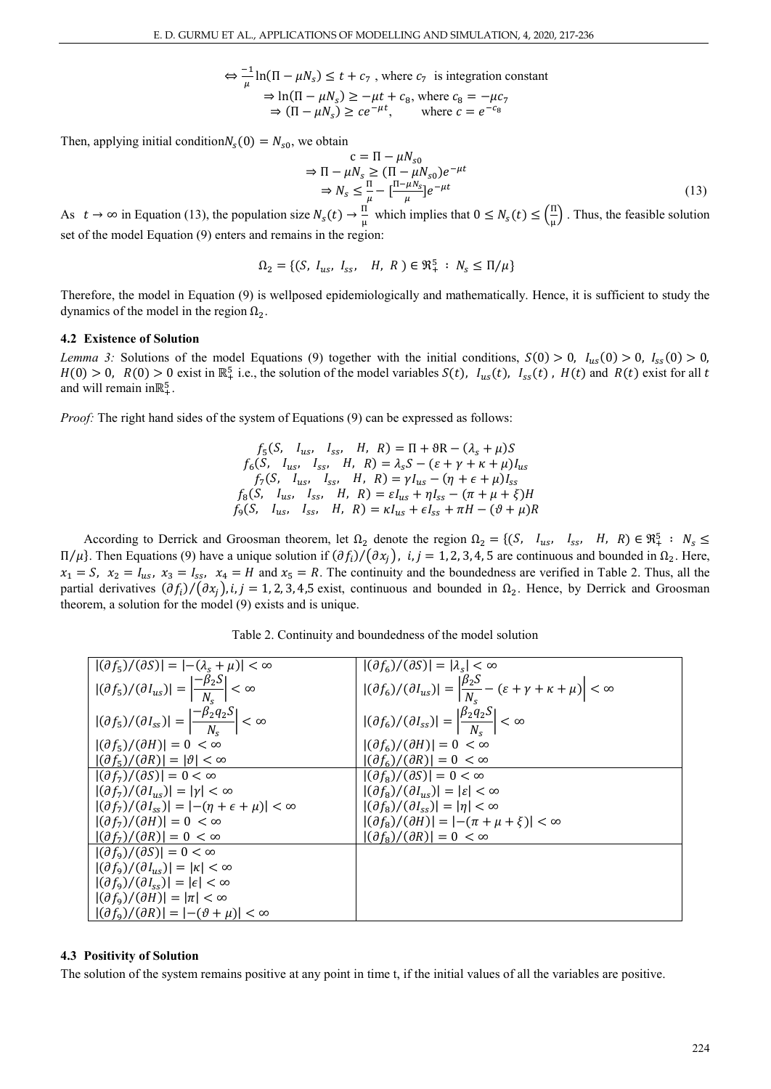$\Leftrightarrow \frac{-1}{\mu} \ln(\Pi - \mu N_s) \le t + c_7$ , where  $c_7$  is integration constant  $\Rightarrow \ln(\Pi - \mu N_s) \ge -\mu t + c_8$ , where  $c_8 = -\mu c_7$  $\Rightarrow (\Pi - \mu N_s) \geq c e^{-\mu t}, \qquad \text{where } c = e^{-c_8}$ 

Then, applying initial condition  $N_s(0) = N_{s0}$ , we obtain

$$
c = \Pi - \mu N_{s0}
$$
  
\n
$$
\Rightarrow \Pi - \mu N_s \ge (\Pi - \mu N_{s0})e^{-\mu t}
$$
  
\n
$$
\Rightarrow N_s \le \frac{\Pi}{\mu} - \left[\frac{\Pi - \mu N_s}{\mu}\right]e^{-\mu t}
$$
\n(13)

As  $t \to \infty$  in Equation (13), the population size  $N_s(t) \to \frac{11}{\mu}$  which implies that  $0 \le N_s(t) \le (\frac{11}{\mu})$  $\frac{1}{\mu}$ . Thus, the feasible solution set of the model Equation (9) enters and remains in the region:

$$
\Omega_2 = \{ (S, I_{us}, I_{ss}, H, R) \in \mathfrak{R}_+^5 : N_s \le \Pi/\mu \}
$$

Therefore, the model in Equation (9) is wellposed epidemiologically and mathematically. Hence, it is sufficient to study the dynamics of the model in the region  $Ω<sub>2</sub>$ .

#### **4.2 Existence of Solution**

*Lemma 3:* Solutions of the model Equations (9) together with the initial conditions,  $S(0) > 0$ ,  $I_{us}(0) > 0$ ,  $I_{ss}(0) > 0$ ,  $H(0) > 0$ ,  $R(0) > 0$  exist in  $\mathbb{R}_+^5$  i.e., the solution of the model variables  $S(t)$ ,  $I_{us}(t)$ ,  $I_{ss}(t)$ ,  $H(t)$  and  $R(t)$  exist for all t and will remain in $\mathbb{R}^5_+$ .

*Proof:* The right hand sides of the system of Equations (9) can be expressed as follows:

 $f_5(S, I_{us}, I_{ss}, H, R) = \Pi + \vartheta R - (\lambda_s + \mu)S$  $f_6(S, I_{us}, I_{ss}, I_{ss}, H, R) = \lambda_s S - (\varepsilon + \gamma + \kappa + \mu)I_{us}$  $f_7(S, I_{us}, I_{ss}, I_{ss}, H, R) = \gamma I_{us} - (\eta + \epsilon + \mu)I$  $f_8(S, I_{us}, I_{ss}, I_{ss}, H, R) = \varepsilon I_{us} + \eta I_{ss} - (\pi + \mu + \xi)H$  $f_9(S, I_{us}, I_{ss}, H, R) = \kappa I_{us} + \epsilon I_{ss} + \pi H - (\vartheta + \mu)R$ 

According to Derrick and Groosman theorem, let  $\Omega_2$  denote the region  $\Omega_2 = \{(S, \quad I_{us}, \quad I_{ss}, \quad H, \quad R) \in \mathbb{R}^5_+ : N_s \leq$  $\Pi/\mu$ . Then Equations (9) have a unique solution if  $(\partial f_i)/(\partial x_j)$ , *i, j* = 1, 2, 3, 4, 5 are continuous and bounded in Ω<sub>2</sub>. Here,  $x_1 = S$ ,  $x_2 = I_{us}$ ,  $x_3 = I_{ss}$ ,  $x_4 = H$  and  $x_5 = R$ . The continuity and the boundedness are verified in Table 2. Thus, all the partial derivatives  $(\partial f_i)/(\partial x_j)$ , i, j = 1, 2, 3, 4,5 exist, continuous and bounded in  $\Omega_2$ . Hence, by Derrick and Groosman theorem, a solution for the model (9) exists and is unique.

Table 2. Continuity and boundedness of the model solution

| $ (\partial f_5)/(\partial S)  =  -(\lambda_s + \mu)  < \infty$                         | $ (\partial f_6)/(\partial S)  =  \lambda_s  < \infty$                                                                     |
|-----------------------------------------------------------------------------------------|----------------------------------------------------------------------------------------------------------------------------|
| $ (\partial f_5)/(\partial I_{us})  = \left \frac{-\beta_2 S}{N_s}\right  < \infty$     | $ (\partial f_6)/(\partial I_{us})  = \left \frac{\beta_2 S}{N_c} - (\varepsilon + \gamma + \kappa + \mu)\right  < \infty$ |
| $ (\partial f_5)/(\partial I_{ss})  = \left \frac{-\beta_2 q_2 S}{N_s}\right  < \infty$ | $ (\partial f_6)/(\partial I_{ss})  = \left \frac{\beta_2 q_2 S}{N_c}\right  < \infty$                                     |
| $ (\partial f_5)/(\partial H)  = 0 < \infty$                                            | $ (\partial f_6)/(\partial H)  = 0 < \infty$                                                                               |
| $ (\partial f_5)/(\partial R)  =  \vartheta  < \infty$                                  | $ (\partial f_6)/(\partial R)  = 0 < \infty$                                                                               |
| $ (\partial f_7)/(\partial S)  = 0 < \infty$                                            | $ (\partial f_{\rm s})/(\partial S)  = 0 < \infty$                                                                         |
| $ (\partial f_7)/(\partial I_{us})  =  \gamma  < \infty$                                | $ (\partial f_{\rm s})/(\partial I_{\rm us})  =  \varepsilon  < \infty$                                                    |
| $ (\partial f_7)/(\partial I_{ss})  =  -(\eta + \epsilon + \mu)  < \infty$              | $ (\partial f_8)/(\partial I_{ss})  =  \eta  < \infty$                                                                     |
| $ (\partial f_7)/(\partial H)  = 0 < \infty$                                            | $ (\partial f_8)/(\partial H)  =  -(\pi + \mu + \xi)  < \infty$                                                            |
| $ (\partial f_7)/(\partial R)  = 0 < \infty$                                            | $ (\partial f_{\rm s})/(\partial R)  = 0 < \infty$                                                                         |
| $ (\partial f_9)/(\partial S)  = 0 < \infty$                                            |                                                                                                                            |
| $ (\partial f_9)/(\partial I_{us})  =  \kappa  < \infty$                                |                                                                                                                            |
| $ (\partial f_9)/(\partial I_{ss})  =  \epsilon  < \infty$                              |                                                                                                                            |
| $ (\partial f_9)/(\partial H)  =  \pi  < \infty$                                        |                                                                                                                            |
| $ (\partial f_9)/(\partial R)  =  -(\vartheta + \mu)  < \infty$                         |                                                                                                                            |

#### **4.3 Positivity of Solution**

The solution of the system remains positive at any point in time t, if the initial values of all the variables are positive.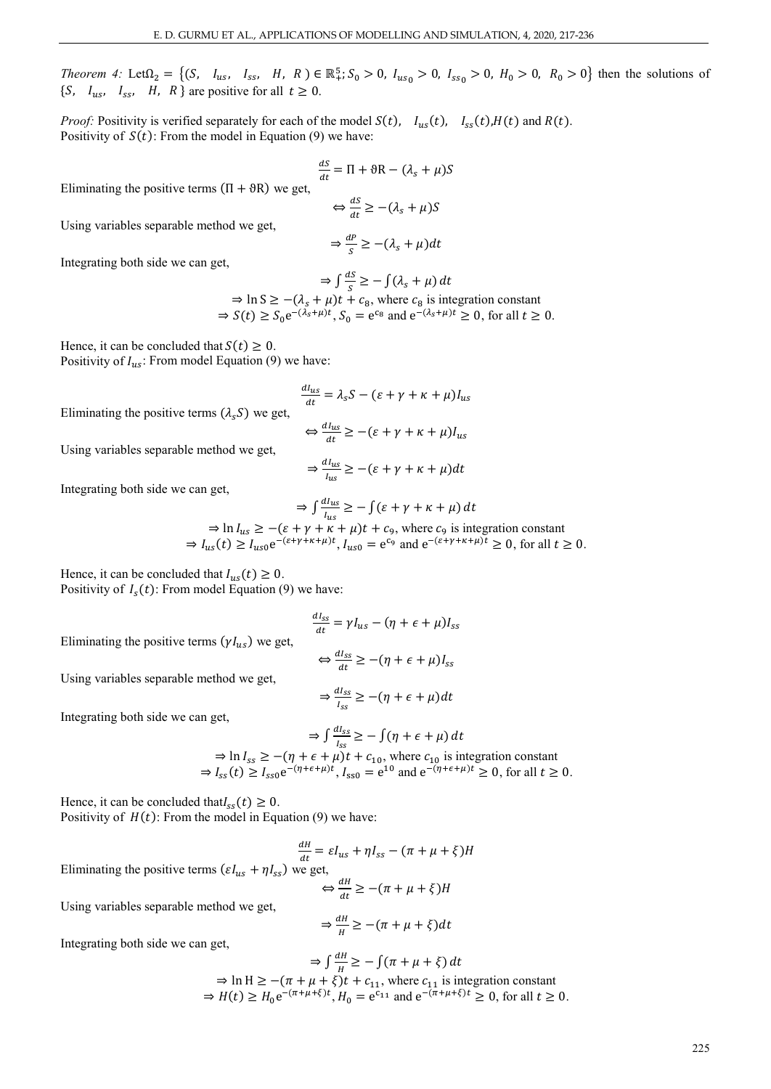*Theorem 4:* Let  $\Omega_2 = \{ (S, \, I_{us}, \, I_{ss}, \, H, \, R \}) \in \mathbb{R}^5_+$ ;  $S_0 > 0$ ,  $I_{us_0} > 0$ ,  $I_{ss_0} > 0$ ,  $H_0 > 0$ ,  $R_0 > 0$ } then the solutions of {S,  $I_{us}$ ,  $I_{ss}$ , H, R } are positive for all  $t \ge 0$ .

*Proof:* Positivity is verified separately for each of the model  $S(t)$ ,  $I_{us}(t)$ ,  $I_{ss}(t)$ ,  $H(t)$  and  $R(t)$ . Positivity of  $S(t)$ : From the model in Equation (9) we have:

$$
\frac{dS}{dt} = \Pi + \vartheta \mathbf{R} - (\lambda_s + \mu)S
$$

Eliminating the positive terms  $(\Pi + \vartheta R)$  we get,

$$
\Leftrightarrow \frac{ds}{dt} \geq -(\lambda_s + \mu)S
$$

Using variables separable method we get,

$$
\Rightarrow \frac{dP}{s} \ge -(\lambda_s + \mu)dt
$$

Integrating both side we can get,

$$
\Rightarrow \int \frac{ds}{s} \ge -\int (\lambda_s + \mu) dt
$$
  
\n
$$
\Rightarrow \ln S \ge -(\lambda_s + \mu)t + c_8, \text{ where } c_8 \text{ is integration constant}
$$
  
\n
$$
\Rightarrow S(t) \ge S_0 e^{-(\lambda_s + \mu)t}, S_0 = e^{c_8} \text{ and } e^{-(\lambda_s + \mu)t} \ge 0, \text{ for all } t \ge 0.
$$

Hence, it can be concluded that  $S(t) \geq 0$ .

Positivity of  $I_{us}$ : From model Equation (9) we have:

$$
\frac{dI_{us}}{dt} = \lambda_s S - (\varepsilon + \gamma + \kappa + \mu)I_{us}
$$

Eliminating the positive terms  $(\lambda_s S)$  we get,

Using variables separable method we get,

$$
\Leftrightarrow \frac{dI_{us}}{dt} \ge -(\varepsilon + \gamma + \kappa + \mu)I_{us}
$$

$$
\Rightarrow \frac{dI_{us}}{I_{us}} \ge -(\varepsilon + \gamma + \kappa + \mu)dt
$$

Integrating both side we can get,

$$
\Rightarrow \int \frac{d_{\text{us}}}{l_{\text{us}}} \ge -\int (\varepsilon + \gamma + \kappa + \mu) dt
$$
  
\n
$$
\Rightarrow \ln l_{\text{us}} \ge -(\varepsilon + \gamma + \kappa + \mu)t + c_9, \text{ where } c_9 \text{ is integration constant}
$$
  
\n
$$
\Rightarrow l_{\text{us}}(t) \ge l_{\text{us}0} e^{-(\varepsilon + \gamma + \kappa + \mu)t}, l_{\text{us}0} = e^{c_9} \text{ and } e^{-(\varepsilon + \gamma + \kappa + \mu)t} \ge 0, \text{ for all } t \ge 0.
$$

Hence, it can be concluded that  $I_{us}(t) \geq 0$ . Positivity of  $I_s(t)$ : From model Equation (9) we have:

$$
\frac{dI_{SS}}{dt} = \gamma I_{us} - (\eta + \epsilon + \mu)I_{s}
$$

Eliminating the positive terms  $(\gamma I_{us})$  we get,

$$
\Leftrightarrow \frac{dI_{SS}}{dt} \geq -(\eta + \epsilon + \mu)I_{SS}
$$

Using variables separable method we get,

$$
\Rightarrow \frac{dI_{SS}}{I_{SS}} \ge -(\eta + \epsilon + \mu)dt
$$

Integrating both side we can get,

$$
\Rightarrow \int \frac{r_{ss}}{r_{ss}} \ge -\int (\eta + \epsilon + \mu) dt
$$
  
\n
$$
\Rightarrow \ln I_{ss} \ge -(\eta + \epsilon + \mu)t + c_{10}, \text{ where } c_{10} \text{ is integration constant}
$$
  
\n
$$
\Rightarrow I_{ss}(t) \ge I_{ss0} e^{-(\eta + \epsilon + \mu)t}, I_{ss0} = e^{10} \text{ and } e^{-(\eta + \epsilon + \mu)t} \ge 0, \text{ for all } t \ge 0.
$$

 $\epsilon$ <sup>d</sup>l<sub>oc</sub>

Hence, it can be concluded that  $I_{ss}(t) \geq 0$ . Positivity of  $H(t)$ : From the model in Equation (9) we have:

$$
\frac{dH}{dt} = \varepsilon I_{us} + \eta I_{ss} - (\pi + \mu + \xi)H
$$
  
 $I_{ss}$ ) we get,

Eliminating the positive terms 
$$
(\varepsilon I_{us} + \eta I_{ss})
$$
 we get,  

$$
\Leftrightarrow \frac{dH}{dt} \ge -(\pi + \mu + \xi)H
$$

Using variables separable method we get,

Integrating both side we can get,

$$
\Rightarrow \int \frac{dH}{H} \ge -\int (\pi + \mu + \xi) dt
$$
  
\n
$$
\Rightarrow \ln H \ge -(\pi + \mu + \xi)t + c_{11}, \text{ where } c_{11} \text{ is integration constant}
$$
  
\n
$$
\Rightarrow H(t) \ge H_0 e^{-(\pi + \mu + \xi)t}, H_0 = e^{c_{11}} \text{ and } e^{-(\pi + \mu + \xi)t} \ge 0, \text{ for all } t \ge 0.
$$

 $\Rightarrow \frac{dH}{H} \geq -(\pi + \mu + \xi)d$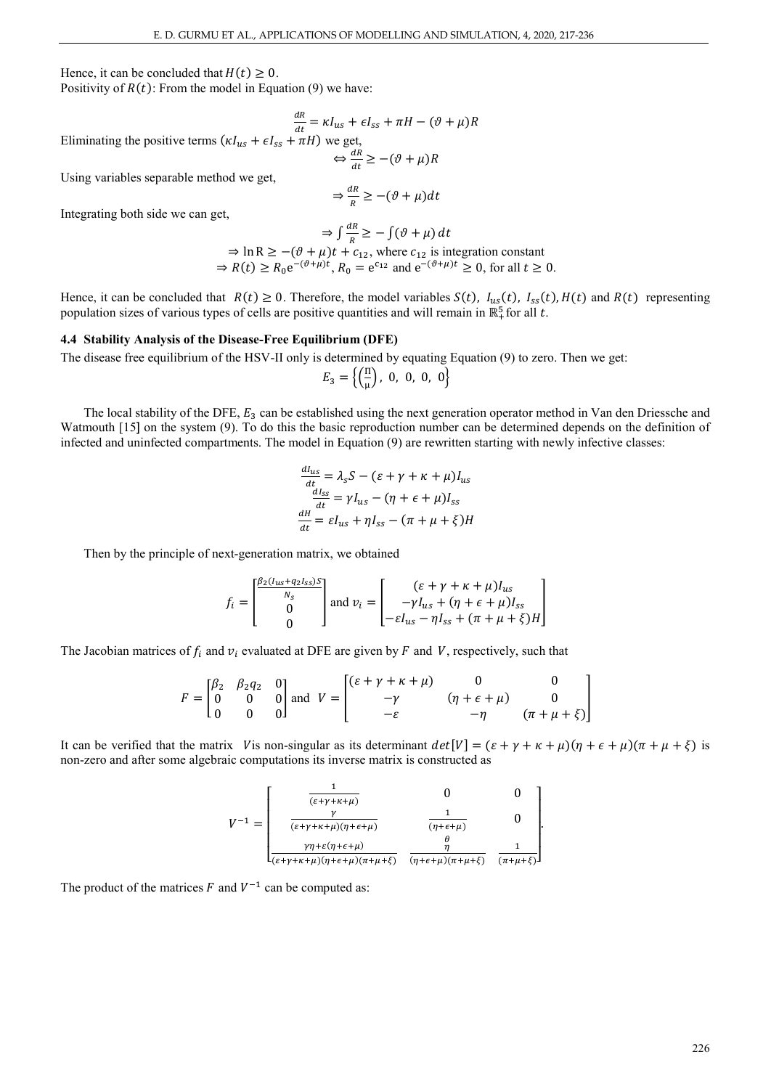Hence, it can be concluded that  $H(t) \geq 0$ .

Positivity of  $R(t)$ : From the model in Equation (9) we have:

 $\frac{dR}{dt} = \kappa I_{us} + \epsilon I_{ss} + \pi H - (\vartheta + \mu)R$ Eliminating the positive terms  $(\kappa I_{us} + \epsilon I_{ss} + \pi H)$  we get,

$$
\Leftrightarrow \frac{dR}{dt} \ge -(\vartheta + \mu)R
$$

Using variables separable method we get,

$$
\Rightarrow \frac{dR}{R} \ge -(\vartheta + \mu)dt
$$

Integrating both side we can get,

$$
\Rightarrow \int \frac{dR}{R} \ge -\int (\vartheta + \mu) dt
$$
  
\n
$$
\Rightarrow \ln R \ge -(\vartheta + \mu)t + c_{12}, \text{ where } c_{12} \text{ is integration constant}
$$
  
\n
$$
\Rightarrow R(t) \ge R_0 e^{-(\vartheta + \mu)t}, R_0 = e^{c_{12}} \text{ and } e^{-(\vartheta + \mu)t} \ge 0, \text{ for all } t \ge 0.
$$

Hence, it can be concluded that  $R(t) \ge 0$ . Therefore, the model variables  $S(t)$ ,  $I_{us}(t)$ ,  $I_{ss}(t)$ ,  $H(t)$  and  $R(t)$  representing population sizes of various types of cells are positive quantities and will remain in  $\mathbb{R}^5_+$  for all  $t$ .

#### **4.4 Stability Analysis of the Disease-Free Equilibrium (DFE)**

The disease free equilibrium of the HSV-II only is determined by equating Equation (9) to zero. Then we get:

$$
E_3 = \left\{ \left( \frac{\mu}{\mu} \right), \ 0, \ 0, \ 0, \ 0 \right\}
$$

The local stability of the DFE,  $E_3$  can be established using the next generation operator method in Van den Driessche and Watmouth [15] on the system (9). To do this the basic reproduction number can be determined depends on the definition of infected and uninfected compartments. The model in Equation (9) are rewritten starting with newly infective classes:

$$
\frac{dI_{us}}{dt} = \lambda_s S - (\varepsilon + \gamma + \kappa + \mu)I_{us}
$$

$$
\frac{dI_{ss}}{dt} = \gamma I_{us} - (\eta + \varepsilon + \mu)I_{ss}
$$

$$
\frac{dH}{dt} = \varepsilon I_{us} + \eta I_{ss} - (\pi + \mu + \xi)H
$$

Then by the principle of next-generation matrix, we obtained

$$
f_{i} = \begin{bmatrix} \frac{\beta_{2}(l_{us} + q_{2}l_{ss})S}{N_{s}} \\ 0 \\ 0 \end{bmatrix} \text{ and } v_{i} = \begin{bmatrix} (\varepsilon + \gamma + \kappa + \mu)l_{us} \\ -\gamma l_{us} + (\eta + \varepsilon + \mu)l_{ss} \\ -\varepsilon l_{us} - \eta l_{ss} + (\pi + \mu + \xi)H \end{bmatrix}
$$

The Jacobian matrices of  $f_i$  and  $v_i$  evaluated at DFE are given by F and V, respectively, such that

$$
F = \begin{bmatrix} \beta_2 & \beta_2 q_2 & 0 \\ 0 & 0 & 0 \\ 0 & 0 & 0 \end{bmatrix} \text{ and } V = \begin{bmatrix} (\varepsilon + \gamma + \kappa + \mu) & 0 & 0 \\ -\gamma & (\eta + \varepsilon + \mu) & 0 \\ -\varepsilon & -\eta & (\pi + \mu + \xi) \end{bmatrix}
$$

It can be verified that the matrix V is non-singular as its determinant  $det[V] = (\varepsilon + \gamma + \kappa + \mu)(\eta + \varepsilon + \mu)(\pi + \mu + \xi)$  is non-zero and after some algebraic computations its inverse matrix is constructed as

$$
V^{-1} = \begin{bmatrix} \frac{1}{(\varepsilon + \gamma + \kappa + \mu)} & 0 & 0\\ \frac{\gamma}{(\varepsilon + \gamma + \kappa + \mu)(\eta + \varepsilon + \mu)} & \frac{1}{(\eta + \varepsilon + \mu)} & 0\\ \frac{\gamma \eta + \varepsilon(\eta + \varepsilon + \mu)}{\varepsilon + \gamma + \kappa + \mu)(\eta + \varepsilon + \mu)(\pi + \mu + \xi)} & \frac{\theta}{(\eta + \varepsilon + \mu)(\pi + \mu + \xi)} & \frac{1}{(\pi + \mu + \xi)} \end{bmatrix}
$$

.

The product of the matrices  $F$  and  $V^{-1}$  can be computed as: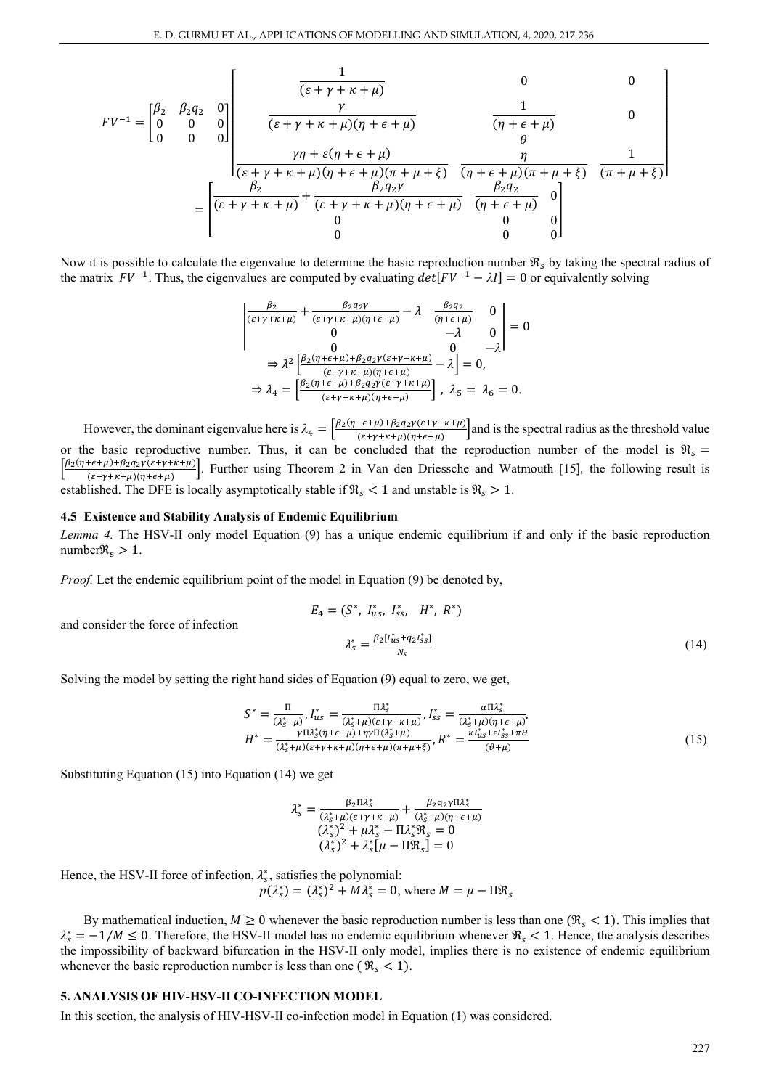$$
FV^{-1} = \begin{bmatrix} \beta_2 & \beta_2 q_2 & 0 \\ 0 & 0 & 0 \\ 0 & 0 & 0 \end{bmatrix} \begin{bmatrix} \frac{\gamma}{(\varepsilon + \gamma + \kappa + \mu)} & 0 & 0 \\ \frac{\gamma}{(\varepsilon + \gamma + \kappa + \mu)(\eta + \varepsilon + \mu)} & \frac{1}{(\eta + \varepsilon + \mu)} & 0 \\ \frac{\gamma \eta + \varepsilon(\eta + \varepsilon + \mu)}{(\varepsilon + \gamma + \kappa + \mu)(\eta + \varepsilon + \mu)(\pi + \mu + \xi)} & \frac{\eta}{(\eta + \varepsilon + \mu)(\pi + \mu + \xi)} & \frac{1}{(\pi + \mu + \xi)} \end{bmatrix}
$$
\n
$$
= \begin{bmatrix} \frac{\beta_2}{(\varepsilon + \gamma + \kappa + \mu)} + \frac{\beta_2 q_2 \gamma}{(\varepsilon + \gamma + \kappa + \mu)(\eta + \varepsilon + \mu)} & \frac{\beta_2 q_2}{(\eta + \varepsilon + \mu)} & 0 \\ 0 & 0 & 0 \end{bmatrix}
$$

Now it is possible to calculate the eigenvalue to determine the basic reproduction number  $\Re_s$  by taking the spectral radius of the matrix  $FV^{-1}$ . Thus, the eigenvalues are computed by evaluating  $det[FV^{-1} - \lambda I] = 0$  or equivalently solving

$$
\begin{vmatrix}\n\frac{\beta_2}{(\varepsilon + \gamma + \kappa + \mu)} + \frac{\beta_2 q_2 \gamma}{(\varepsilon + \gamma + \kappa + \mu)(\eta + \varepsilon + \mu)} - \lambda & \frac{\beta_2 q_2}{(\eta + \varepsilon + \mu)} & 0 \\
0 & -\lambda & 0 \\
0 & 0 & -\lambda\n\end{vmatrix} = 0
$$
\n
$$
\Rightarrow \lambda^2 \left[ \frac{\beta_2 (\eta + \varepsilon + \mu) + \beta_2 q_2 \gamma (\varepsilon + \gamma + \kappa + \mu)}{(\varepsilon + \gamma + \kappa + \mu)(\eta + \varepsilon + \mu)} - \lambda \right] = 0,
$$
\n
$$
\Rightarrow \lambda_4 = \left[ \frac{\beta_2 (\eta + \varepsilon + \mu) + \beta_2 q_2 \gamma (\varepsilon + \gamma + \kappa + \mu)}{(\varepsilon + \gamma + \kappa + \mu)(\eta + \varepsilon + \mu)} \right], \lambda_5 = \lambda_6 = 0.
$$

However, the dominant eigenvalue here is  $\lambda_4 = \left[\frac{\beta_2(\eta + \epsilon + \mu) + \beta_2 q_2 \gamma(\epsilon + \gamma + \kappa + \mu)}{(\epsilon + \gamma + \kappa + \mu)(\eta + \epsilon + \mu)}\right]$  and is the spectral radius as the threshold value or the basic reproductive number. Thus, it can be concluded that the reproduction number of the model is  $\Re_s$  =  $\left[\frac{\beta_2(\eta+\epsilon+\mu)+\beta_2q_2\gamma(\epsilon+\gamma+\kappa+\mu)}{(\epsilon+\gamma+\kappa+\mu)(\eta+\epsilon+\mu)}\right]$ . Further using Theorem 2 in Van den Driessche and Watmouth [15], the following result is established. The DFE is locally asymptotically stable if  $\Re_s < 1$  and unstable is  $\Re_s > 1$ .

#### **4.5 Existence and Stability Analysis of Endemic Equilibrium**

*Lemma 4.* The HSV-II only model Equation (9) has a unique endemic equilibrium if and only if the basic reproduction number $\Re_s > 1$ .

*Proof.* Let the endemic equilibrium point of the model in Equation (9) be denoted by,

$$
E_4 = (S^*, I_{us}^*, I_{ss}^*, H^*, R^*)
$$
  

$$
\lambda_s^* = \frac{\beta_2 [I_{us}^* + q_2 I_{ss}^*]}{N_s}
$$
 (14)

Solving the model by setting the right hand sides of Equation (9) equal to zero, we get,

$$
S^* = \frac{\Pi}{(\lambda_s^* + \mu)}, I_{us}^* = \frac{\Pi \lambda_s^*}{(\lambda_s^* + \mu)(\varepsilon + \gamma + \kappa + \mu)}, I_{ss}^* = \frac{\alpha \Pi \lambda_s^*}{(\lambda_s^* + \mu)(\eta + \varepsilon + \mu)},
$$
  

$$
H^* = \frac{\gamma \Pi \lambda_s^* (\eta + \varepsilon + \mu) + \eta \gamma \Pi (\lambda_s^* + \mu)}{(\lambda_s^* + \mu)(\varepsilon + \gamma + \kappa + \mu)(\eta + \varepsilon + \mu)(\eta + \mu + \xi)}, R^* = \frac{\kappa I_{us}^* + \varepsilon I_{ss}^* + \pi H}{(\vartheta + \mu)}
$$
(15)

Substituting Equation (15) into Equation (14) we get

and consider the force of infection

$$
\lambda_{s}^{*} = \frac{\beta_{2} \Pi \lambda_{s}^{*}}{(\lambda_{s}^{*} + \mu)(\varepsilon + \gamma + \kappa + \mu)} + \frac{\beta_{2} \mathbf{q}_{2} \gamma \Pi \lambda_{s}^{*}}{(\lambda_{s}^{*} + \mu)(\eta + \varepsilon + \mu)}
$$
  

$$
(\lambda_{s}^{*})^{2} + \mu \lambda_{s}^{*} - \Pi \lambda_{s}^{*} \mathfrak{R}_{s} = 0
$$
  

$$
(\lambda_{s}^{*})^{2} + \lambda_{s}^{*} [\mu - \Pi \mathfrak{R}_{s}] = 0
$$

Hence, the HSV-II force of infection,  $\lambda_s^*$ , satisfies the polynomial:

$$
p(\lambda_s^*) = (\lambda_s^*)^2 + M\lambda_s^* = 0
$$
, where  $M = \mu - \Pi \mathfrak{R}_s$ 

By mathematical induction,  $M \ge 0$  whenever the basic reproduction number is less than one  $(\Re_s < 1)$ . This implies that  $\lambda_s^* = -1/M \leq 0$ . Therefore, the HSV-II model has no endemic equilibrium whenever  $\Re_s < 1$ . Hence, the analysis describes the impossibility of backward bifurcation in the HSV-II only model, implies there is no existence of endemic equilibrium whenever the basic reproduction number is less than one ( $\Re_s < 1$ ).

## **5. ANALYSIS OF HIV-HSV-II CO-INFECTION MODEL**

In this section, the analysis of HIV-HSV-II co-infection model in Equation (1) was considered.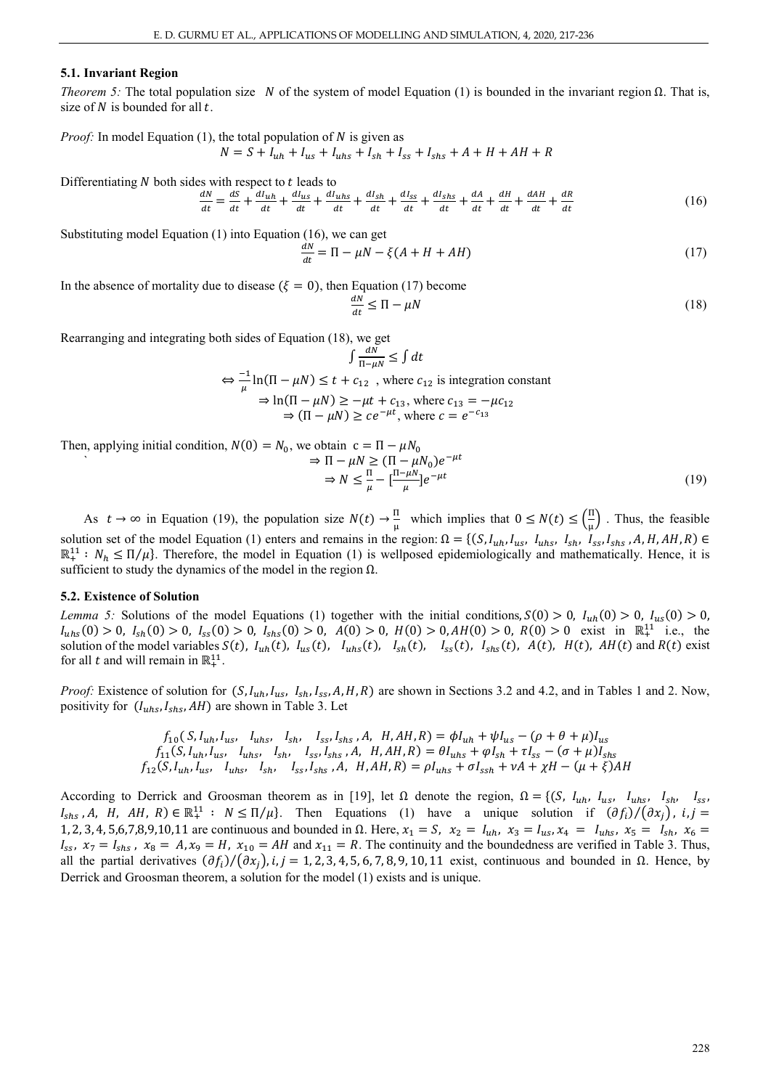## **5.1. Invariant Region**

*Theorem 5:* The total population size N of the system of model Equation (1) is bounded in the invariant region  $\Omega$ . That is, size of  $N$  is bounded for all  $t$ .

*Proof:* In model Equation (1), the total population of  $N$  is given as  $N = S + I_{uh} + I_{us} + I_{uhs} + I_{sh} + I_{ss} + I_{shs} + A + H + AH + R$ 

Differentiating  $N$  both sides with respect to  $t$  leads to  $\frac{dN}{dt} = \frac{ds}{dt} + \frac{dI_{uh}}{dt} + \frac{dI_{us}}{dt} + \frac{dI_{uh}}{dt} + \frac{dI_{sh}}{dt} + \frac{dI_{sh}}{dt} + \frac{dI_{sh}}{dt} + \frac{dA}{dt} + \frac{dH}{dt} + \frac{aAH}{dt} + \frac{a}{dt}$  $\frac{dn}{dt}$  (16)

Substituting model Equation (1) into Equation (16), we can get

$$
\frac{dN}{dt} = \Pi - \mu N - \xi (A + H + AH) \tag{17}
$$

In the absence of mortality due to disease ( $\xi = 0$ ), then Equation (17) become

$$
\frac{dN}{dt} \le \Pi - \mu N \tag{18}
$$

Rearranging and integrating both sides of Equation (18), we get

$$
\int \frac{aN}{\Pi - \mu N} \le \int dt
$$
  
\n
$$
\Leftrightarrow \frac{-1}{\mu} \ln(\Pi - \mu N) \le t + c_{12} \text{ , where } c_{12} \text{ is integration constant}
$$
  
\n
$$
\Rightarrow \ln(\Pi - \mu N) \ge -\mu t + c_{13}, \text{ where } c_{13} = -\mu c_{12}
$$
  
\n
$$
\Rightarrow (\Pi - \mu N) \ge ce^{-\mu t}, \text{ where } c = e^{-c_{13}}
$$

Then, applying initial condition,  $N(0) = N_0$ , we obtain  $c = \Pi - \mu N_0$ 

$$
\Rightarrow \Pi - \mu N \ge (\Pi - \mu N_0)e^{-\mu t}
$$
  

$$
\Rightarrow N \le \frac{\Pi}{\mu} - \left[\frac{\Pi - \mu N_0}{\mu}\right]e^{-\mu t}
$$
 (19)

As  $t \to \infty$  in Equation (19), the population size  $N(t) \to \frac{\pi}{\mu}$  which implies that  $0 \le N(t) \le (\frac{\pi}{\mu})$  $\frac{11}{\mu}$ . Thus, the feasible solution set of the model Equation (1) enters and remains in the region:  $\Omega = \{(S, I_{uh}, I_{us}, I_{uhs}, I_{sh}, I_{ss}, I_{shs}, A, H, AH, R)\in$  $\mathbb{R}^{11}: N_h \leq \Pi/\mu$ . Therefore, the model in Equation (1) is wellposed epidemiologically and mathematically. Hence, it is sufficient to study the dynamics of the model in the region  $\Omega$ .

## **5.2. Existence of Solution**

*Lemma 5:* Solutions of the model Equations (1) together with the initial conditions,  $S(0) > 0$ ,  $I_{uh}(0) > 0$ ,  $I_{us}(0) > 0$ ,  $I_{uhs}(0) > 0$ ,  $I_{sh}(0) > 0$ ,  $I_{ss}(0) > 0$ ,  $I_{shs}(0) > 0$ ,  $A(0) > 0$ ,  $H(0) > 0$ ,  $A(0) > 0$ ,  $R(0) > 0$  exist in  $\mathbb{R}^{11}$  i.e., the solution of the model variables  $S(t)$ ,  $I_{uh}(t)$ ,  $I_{us}(t)$ ,  $I_{uhs}(t)$ ,  $I_{sh}(t)$ ,  $I_{ss}(t)$ ,  $I_{shs}(t)$ ,  $A(t)$ ,  $H(t)$ ,  $AH(t)$  and  $R(t)$  exist for all *t* and will remain in  $\mathbb{R}^{11}$ .

*Proof:* Existence of solution for  $(S, I_{uh}, I_{us}, I_{ss}, I_{ss}, A, H, R)$  are shown in Sections 3.2 and 4.2, and in Tables 1 and 2. Now, positivity for  $(I_{uhs}, I_{shs}, AH)$  are shown in Table 3. Let

$$
f_{10}(S, I_{uh}, I_{us}, I_{uhs}, I_{sh}, I_{ss}, I_{shs}, A, H, AH, R) = \phi I_{uh} + \psi I_{us} - (\rho + \theta + \mu)I_{us}
$$
  

$$
f_{11}(S, I_{uh}, I_{us}, I_{uhs}, I_{sh}, I_{sh}, I_{ss}, I_{shs}, A, H, AH, R) = \theta I_{uhs} + \phi I_{sh} + \tau I_{ss} - (\sigma + \mu)I_{shs}
$$
  

$$
f_{12}(S, I_{uh}, I_{us}, I_{uhs}, I_{sh}, I_{sh}, I_{ss}, I_{shs}, A, H, AH, R) = \rho I_{uhs} + \sigma I_{sh} + \nu A + \chi H - (\mu + \xi)AH
$$

According to Derrick and Groosman theorem as in [19], let  $\Omega$  denote the region,  $\Omega = \{ (S, I_{uh}, I_{us}, I_{uh}, I_{sh}, I_{ss}, I_{sh})\}$  $I_{shs}$ , A, H, AH, R)  $\in \mathbb{R}^{11} : N \leq \Pi/\mu$ . Then Equations (1) have a unique solution if  $(\partial f_i)/(\partial x_j)$ ,  $i, j =$ 1, 2, 3, 4, 5,6,7,8,9,10,11 are continuous and bounded in  $\Omega$ . Here,  $x_1 = S$ ,  $x_2 = I_{uh}$ ,  $x_3 = I_{us}$ ,  $x_4 = I_{ufs}$ ,  $x_5 = I_{sh}$ ,  $x_6 = I_{sh}$ ,  $x_7 = I_{sh}$ ,  $x_8 = I_{sh}$ ,  $x_9 = I_{sh}$ ,  $x_1 = I_{sh}$ ,  $x_2 = I_{sh}$ ,  $x_7 = I_{sh}$ ,  $x_8 = I_{sh}$  $I_{ss}$ ,  $x_7 = I_{shs}$ ,  $x_8 = A$ ,  $x_9 = H$ ,  $x_{10} = AH$  and  $x_{11} = R$ . The continuity and the boundedness are verified in Table 3. Thus, all the partial derivatives  $(\partial f_i)/(\partial x_i)$ , i, j = 1, 2, 3, 4, 5, 6, 7, 8, 9, 10, 11 exist, continuous and bounded in Ω. Hence, by Derrick and Groosman theorem, a solution for the model (1) exists and is unique.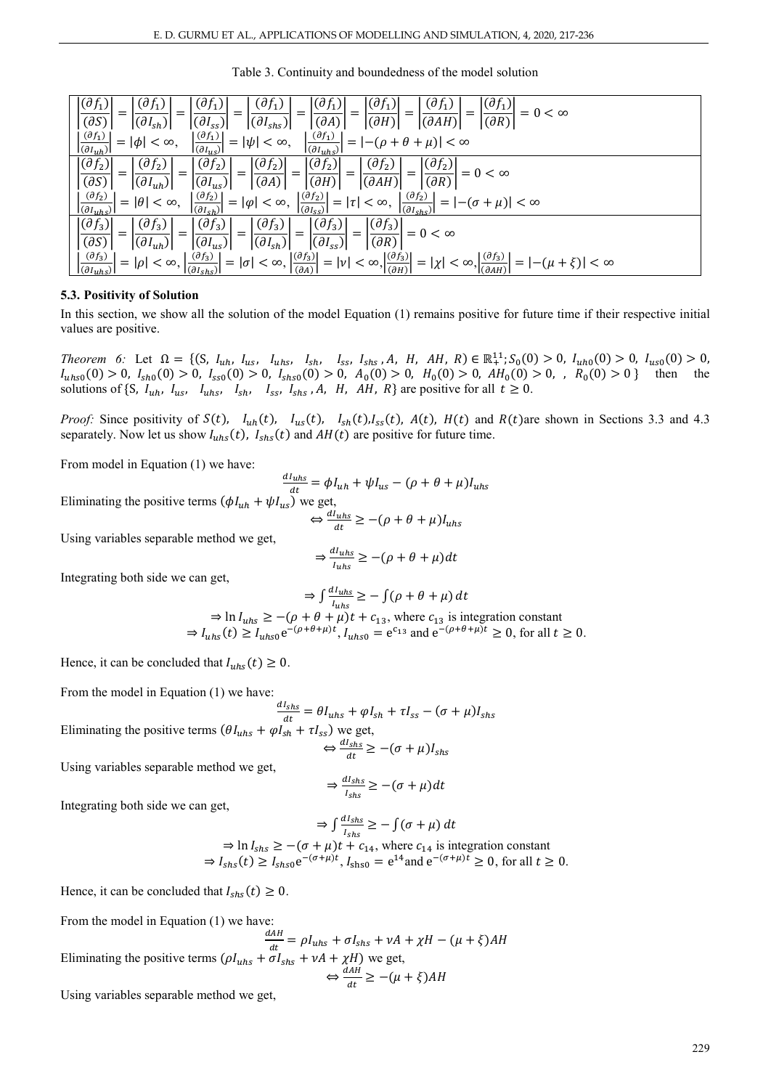| $(\partial f_1)$<br>$(\partial f_1)$<br>$(\partial f_1)$<br>$(\partial f_1)$<br>$(\partial f_1)$<br>$(\partial f_1)$<br>$ (\partial f_1) $<br>$(d_{1})^{\dagger}$<br>$= 0 < \infty$<br>$=$<br>$\overline{(\partial H)}$<br>$\overline{(\partial A)}$<br>$\overline{(\partial AH)}$<br>$(\partial R)$<br>$(\partial S)$<br>$ (\partial I_{sh}) $<br>$ (\partial I_{ss}) $<br>$ (\partial I_{shs}) $                                                                                        |
|-------------------------------------------------------------------------------------------------------------------------------------------------------------------------------------------------------------------------------------------------------------------------------------------------------------------------------------------------------------------------------------------------------------------------------------------------------------------------------------------|
| $(\partial f_1)$<br>$(\partial f_1)$<br>$(\partial f_1)$<br>$=  \psi  < \infty,$<br>$=  -(\rho + \theta + \mu)  < \infty$<br>$=  \phi  < \infty$ ,<br>$\overline{(\partial I_{uh})}$<br>$(\partial I_{\mu S})$<br>$(\partial I_{uhs})$                                                                                                                                                                                                                                                    |
| $ (\partial f_2) $<br>$(\partial f_2)$<br>$ (\partial f_2) $<br>$ (\partial f_2) $<br>$\vert (\partial f_2) \vert$<br>$(\partial f_2)$<br>$\left \frac{(\partial f_2)}{(\partial R)}\right  = 0 < \infty$<br>$I = \left  \frac{\sqrt{J_2 J}}{(\partial AH)} \right  = \left  \frac{J_0}{(\partial AH)} \right $<br>$4 = 1$<br>$\left \overline{\left(\partial H\right)}\right $<br>$\overline{(\partial A)}$<br>$\overline{(dS)}$<br>$ (\partial I_{us}) $<br>$ (\partial I_{uh}) $       |
| $\left  \left( \partial f_2 \right) \right $<br>$(\partial f_2)$<br>$\left \frac{(\partial f_2)}{(\partial I_{\text{ch}})}\right  =  \varphi  < \infty, \ \left \frac{(\partial f_2)}{(\partial I_{\text{ss}})}\right  =  \tau  < \infty,$<br>$=  -(\sigma + \mu)  < \infty$<br>$=  \theta  < \infty$ ,<br>$(\partial I_{uhs})$<br>$ _{(\partial I_{shs})} $                                                                                                                              |
| $ (\partial f_3) $<br>$(\partial f_3)$<br>$\left  \left( \partial f_3 \right) \right $<br>$\left  \left( \partial f_3 \right) \right $<br>$\left \frac{(\partial f_3)}{(\partial R)}\right =0 < \infty$<br>$-\left \frac{(\partial f_3)}{(\partial f_3)}\right  = \left  \frac{(\nu + \nu)}{(\nu + \nu + \nu)}\right $<br>$\overline{(\partial I_{ss})}$<br>$\left \overline{\left(\partial I_{sh}\right)}\right $<br>$\overline{(dS)}$<br>$ (\partial I_{us}) $<br>$ (\partial I_{uh}) $ |
| $=  \rho  < \infty, \left  \frac{(\partial f_3)}{(\partial I_{shS})} \right  =  \sigma  < \infty, \left  \frac{(\partial f_3)}{(\partial A)} \right  =  \nu  < \infty, \left  \frac{(\partial f_3)}{(\partial H)} \right  =  \chi  < \infty, \left  \frac{(\partial f_3)}{(\partial AH)} \right  =  -(\mu + \xi)  < \infty$<br>$(\partial f_3)$<br>$ _{(\partial I_{uhs})} $                                                                                                              |

## **5.3. Positivity of Solution**

In this section, we show all the solution of the model Equation (1) remains positive for future time if their respective initial values are positive.

*Theorem 6:* Let  $\Omega = \{ (S, I_{uh}, I_{us}, I_{uh}, I_{sh}, I_{sh}, I_{sh}, I_{sh}, A, H, AH, R) \in \mathbb{R}^{11}$ ;  $S_0(0) > 0$ ,  $I_{uh0}(0) > 0$ ,  $I_{us0}(0) > 0$ ,  $I_{uhs0}(0) > 0$ ,  $I_{sh0}(0) > 0$ ,  $I_{ss0}(0) > 0$ ,  $I_{shs0}(0) > 0$ ,  $A_0(0) > 0$ ,  $H_0(0) > 0$ ,  $AH_0(0) > 0$ ,  $R_0(0) > 0$ } then the solutions of {S,  $I_{uh}$ ,  $I_{us}$ ,  $I_{uhs}$ ,  $I_{sh}$ ,  $I_{ss}$ ,  $I_{shs}$ ,  $A$ ,  $H$ ,  $AH$ ,  $R$ } are positive for all  $t \ge 0$ .

*Proof:* Since positivity of  $S(t)$ ,  $I_{uh}(t)$ ,  $I_{us}(t)$ ,  $I_{sh}(t)$ ,  $I_{sh}(t)$ ,  $A(t)$ ,  $H(t)$  and  $R(t)$ are shown in Sections 3.3 and 4.3 separately. Now let us show  $I_{uhs}(t)$ ,  $I_{shs}(t)$  and  $AH(t)$  are positive for future time.

From model in Equation (1) we have:

 $\frac{dI_{uhs}}{dt} = \phi I_{uh} + \psi I_{us} - (\rho + \theta + \mu) I_{uh}$ Eliminating the positive terms  $(\phi I_{uh} + \psi I_{us})$  we get,  $\Leftrightarrow \frac{dI_{uhs}}{dt} \geq -(\rho + \theta + \mu)I_{uh}$ 

Using variables separable method we get,

$$
\Rightarrow \frac{dI_{uhs}}{I_{uhs}} \ge -(\rho + \theta + \mu)dt
$$

Integrating both side we can get,

$$
\Rightarrow \int \frac{dI_{uhs}}{I_{uhs}} \ge -\int (\rho + \theta + \mu) dt
$$
  
\n
$$
\Rightarrow \ln I_{uhs} \ge -(\rho + \theta + \mu)t + c_{13}, \text{ where } c_{13} \text{ is integration constant}
$$
  
\n
$$
\Rightarrow I_{uhs}(t) \ge I_{uhs0} e^{-(\rho + \theta + \mu)t}, I_{uhs0} = e^{c_{13}} \text{ and } e^{-(\rho + \theta + \mu)t} \ge 0, \text{ for all } t \ge 0.
$$

Hence, it can be concluded that  $I_{uhs}(t) \ge 0$ .

From the model in Equation (1) we have:

Using variables separable method we get,

$$
\frac{dI_{shs}}{dt} = \theta I_{uhs} + \varphi I_{sh} + \tau I_{ss} - (\sigma + \mu)I_{sh}.
$$
  
Eliminating the positive terms  $(\theta I_{uhs} + \varphi I_{sh} + \tau I_{ss})$  we get,

 $dI_{shs}$ 

$$
\Leftrightarrow \frac{dI_{shs}}{dt} \ge -(\sigma + \mu)I_{shs}
$$

$$
\Rightarrow \frac{dI_{shs}}{I_{shs}} \ge -(\sigma + \mu)dt
$$

Integrating both side we can get,

$$
\Rightarrow \int \frac{dI_{shs}}{I_{shs}} \ge -\int (\sigma + \mu) dt
$$
  
\n
$$
\Rightarrow \ln I_{shs} \ge -(\sigma + \mu)t + c_{14}, \text{ where } c_{14} \text{ is integration constant}
$$
  
\n
$$
\Rightarrow I_{shs}(t) \ge I_{shs0} e^{-(\sigma + \mu)t}, I_{shs0} = e^{14} \text{ and } e^{-(\sigma + \mu)t} \ge 0, \text{ for all } t \ge 0.
$$

Hence, it can be concluded that  $I_{shs}(t) \geq 0$ .

From the model in Equation (1) we have:

 $\frac{dAH}{dt} = \rho I_{uhs} + \sigma I_{shs} + vA + \chi H - (\mu + \xi)AH$ Eliminating the positive terms  $(\rho I_{uhs} + \sigma I_{shs} + vA + \chi H)$  we get,  $\Leftrightarrow \frac{dAH}{dt} \geq -(\mu + \xi)AH$ 

Using variables separable method we get,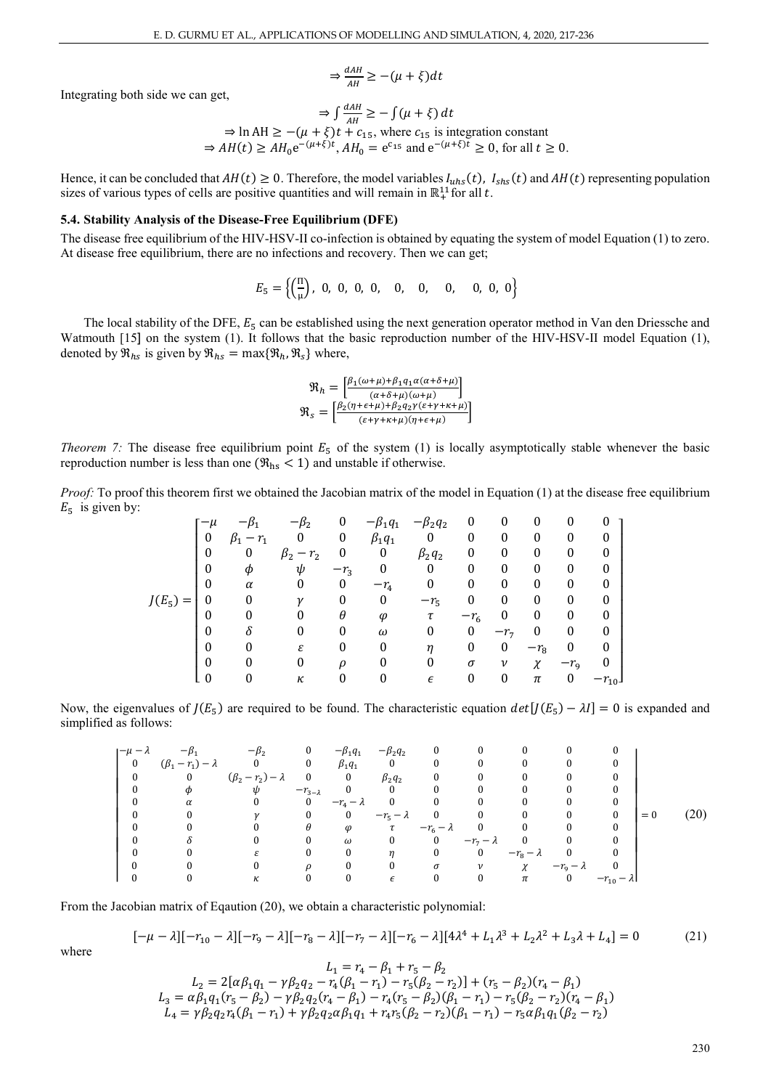$$
\Rightarrow \frac{dAH}{AH} \geq -(\mu + \xi)dt
$$

Integrating both side we can get,

$$
\Rightarrow \int \frac{dA H}{AH} \ge -\int (\mu + \xi) dt
$$
  
\n
$$
\Rightarrow \ln AH \ge -(\mu + \xi)t + c_{15}, \text{ where } c_{15} \text{ is integration constant}
$$
  
\n
$$
\Rightarrow AH(t) \ge AH_0 e^{-(\mu + \xi)t}, AH_0 = e^{c_{15}} \text{ and } e^{-(\mu + \xi)t} \ge 0, \text{ for all } t \ge 0.
$$

Hence, it can be concluded that  $AH(t) \ge 0$ . Therefore, the model variables  $I_{uhs}(t)$ ,  $I_{shs}(t)$  and  $AH(t)$  representing population sizes of various types of cells are positive quantities and will remain in  $\mathbb{R}^{11}$  for all t.

#### **5.4. Stability Analysis of the Disease-Free Equilibrium (DFE)**

The disease free equilibrium of the HIV-HSV-II co-infection is obtained by equating the system of model Equation (1) to zero. At disease free equilibrium, there are no infections and recovery. Then we can get;

$$
E_5 = \left\{ \left( \frac{\pi}{\mu} \right), 0, 0, 0, 0, 0, 0, 0, 0, 0, 0, 0 \right\}
$$

The local stability of the DFE,  $E_5$  can be established using the next generation operator method in Van den Driessche and Watmouth [15] on the system (1). It follows that the basic reproduction number of the HIV-HSV-II model Equation (1), denoted by  $\mathfrak{R}_{hs}$  is given by  $\mathfrak{R}_{hs} = \max\{\mathfrak{R}_{h}, \mathfrak{R}_{s}\}\$  where,

$$
\mathfrak{R}_h = \frac{\left[\beta_1(\omega + \mu) + \beta_1 q_1 \alpha(\alpha + \delta + \mu)\right]}{(\alpha + \delta + \mu)(\omega + \mu)}
$$
\n
$$
\mathfrak{R}_s = \frac{\left[\beta_2(\eta + \epsilon + \mu) + \beta_2 q_2 \gamma(\epsilon + \gamma + \kappa + \mu)\right]}{(\epsilon + \gamma + \kappa + \mu)(\eta + \epsilon + \mu)}
$$

*Theorem 7:* The disease free equilibrium point  $E_5$  of the system (1) is locally asymptotically stable whenever the basic reproduction number is less than one  $(\Re_{\text{hs}} < 1)$  and unstable if otherwise.

*Proof:* To proof this theorem first we obtained the Jacobian matrix of the model in Equation (1) at the disease free equilibrium  $E_5$  is given by:

|            | $-\mu$ |          |          | 0      | $\beta_1 q_1$    | $-\beta_2 q_2$ | 0        |       | 0      | 0                |          |
|------------|--------|----------|----------|--------|------------------|----------------|----------|-------|--------|------------------|----------|
|            | 0      | $-r_1$   |          | 0      | $\beta_1 q_1$    |                | 0        | 0     | 0      | 0                |          |
|            | 0      | 0        | $-r_{2}$ | 0      | $\boldsymbol{0}$ | $\beta_2 q_2$  | 0        | 0     | 0      | 0                |          |
|            |        | Φ        | ψ        | $-r_3$ | $\theta$         | $\Omega$       | 0        | 0     | 0      | 0                |          |
|            | U      | $\alpha$ |          | 0      | $-r_4$           | 0              | 0        | 0     | 0      | $\boldsymbol{0}$ |          |
| $J(E_5) =$ |        |          | ν        | 0      | 0                | $-r_{5}$       | 0        |       | 0      | 0                |          |
|            |        |          |          | θ      | $\varphi$        | τ              | $-r_{6}$ |       |        | 0                |          |
|            |        | Λ        |          | 0      | $\omega$         | $\Omega$       | 0        | $-r7$ | 0      | 0                |          |
|            |        |          | ε        | 0      | 0                | η              | 0        | 0     | $-r_8$ | 0                |          |
|            |        |          |          | D      | 0                | 0              | σ        | ν     | $\chi$ | $-r_{\rm q}$     |          |
|            |        |          | κ        | 0      | 0                | $\epsilon$     | 0        | 0     | $\pi$  | 0                | $r_{10}$ |

Now, the eigenvalues of  $J(E_5)$  are required to be found. The characteristic equation  $det[J(E_5) - \lambda I] = 0$  is expanded and simplified as follows:

| $-\mu - \lambda$ |                             | $-\beta_2$                      | $\overline{\mathbf{0}}$ | $-\beta_1 q_1$     | $-\beta_2 q_2$   |                    |                         |                |                      |                     |       |  |
|------------------|-----------------------------|---------------------------------|-------------------------|--------------------|------------------|--------------------|-------------------------|----------------|----------------------|---------------------|-------|--|
|                  | $(\beta_1 - r_1) - \lambda$ | $\overline{\mathbf{0}}$         | $\mathbf{0}$            | $\beta_1 q_1$      |                  |                    |                         |                |                      |                     |       |  |
|                  | $\mathbf{0}$                | $(\beta_2 - r_2) - \lambda$ 0 0 |                         |                    | $\beta_2 q_2$    |                    |                         |                |                      |                     |       |  |
|                  |                             | ψ                               | $-r_{3-\lambda}$        | $\overline{0}$     | $\bf{0}$         |                    |                         |                |                      |                     |       |  |
|                  |                             |                                 | $\mathbf{0}$            | $-r_4 - \lambda$ 0 |                  |                    |                         |                |                      | 0                   |       |  |
|                  |                             |                                 |                         | $\mathbf{0}$       |                  | $-r_5-\lambda$ 0   |                         | $\mathbf{0}$   |                      | $\theta$            | $= 0$ |  |
|                  |                             |                                 | θ                       | $\varphi$          | $\tau$           | $-r_6 - \lambda$ 0 |                         |                | $\theta$             |                     |       |  |
|                  |                             |                                 |                         | $\omega$           |                  | $\mathbf{0}$       | $-r_7 - \lambda$        | $\overline{0}$ | - 0                  |                     |       |  |
|                  |                             |                                 |                         |                    | $\boldsymbol{n}$ |                    | $\overline{\mathbf{0}}$ | $-r_8-\lambda$ | $\overline{0}$       |                     |       |  |
|                  |                             |                                 |                         |                    |                  | $\sigma$           | $\mathcal V$            | $\chi$         | $-r_{\rm g}-\lambda$ |                     |       |  |
|                  |                             |                                 |                         |                    |                  |                    |                         | $\pi$          | $\bf{0}$             | $-r_{10} - \lambda$ |       |  |

From the Jacobian matrix of Eqaution (20), we obtain a characteristic polynomial:

$$
[-\mu - \lambda] [-r_{10} - \lambda] [-r_9 - \lambda] [-r_8 - \lambda] [-r_7 - \lambda] [-r_6 - \lambda] [4\lambda^4 + L_1 \lambda^3 + L_2 \lambda^2 + L_3 \lambda + L_4] = 0 \tag{21}
$$

where

l

l

l

l

$$
L_1 = r_4 - \rho_1 + r_5 - \rho_2
$$
  
\n
$$
L_2 = 2[\alpha\beta_1q_1 - \gamma\beta_2q_2 - r_4(\beta_1 - r_1) - r_5(\beta_2 - r_2)] + (r_5 - \beta_2)(r_4 - \beta_1)
$$
  
\n
$$
L_3 = \alpha\beta_1q_1(r_5 - \beta_2) - \gamma\beta_2q_2(r_4 - \beta_1) - r_4(r_5 - \beta_2)(\beta_1 - r_1) - r_5(\beta_2 - r_2)(r_4 - \beta_1)
$$
  
\n
$$
L_4 = \gamma\beta_2q_2r_4(\beta_1 - r_1) + \gamma\beta_2q_2\alpha\beta_1q_1 + r_4r_5(\beta_2 - r_2)(\beta_1 - r_1) - r_5\alpha\beta_1q_1(\beta_2 - r_2)
$$

 $I = H - Q + H$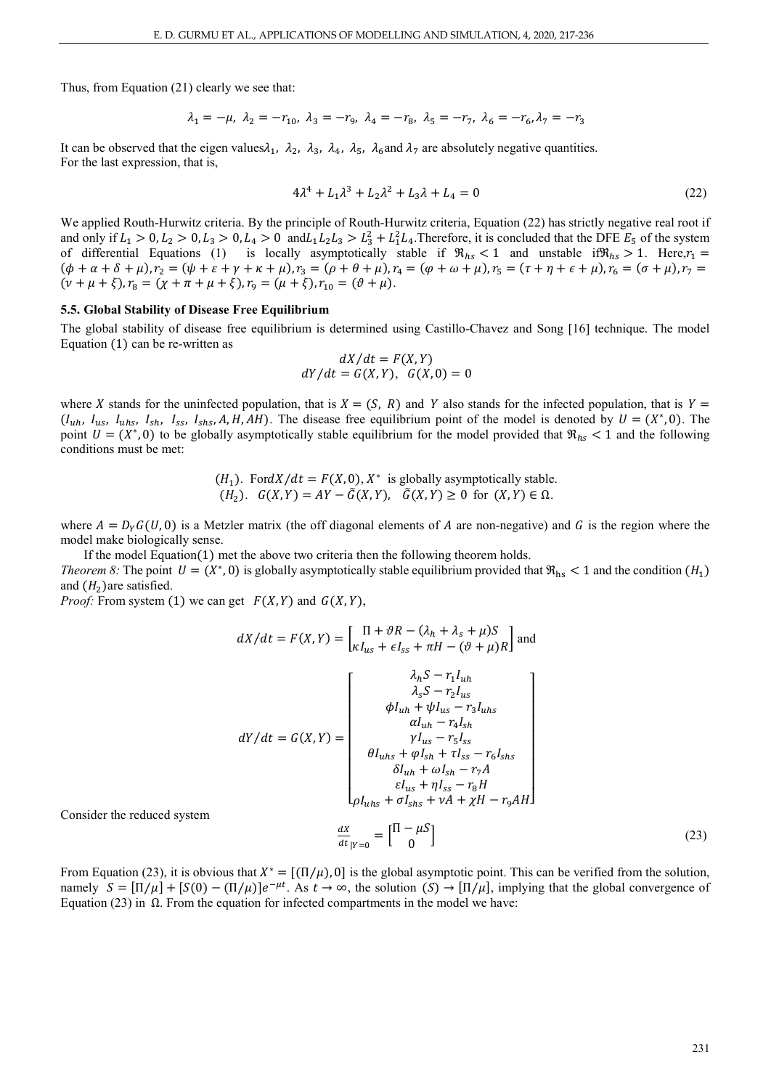Thus, from Equation (21) clearly we see that:

$$
\lambda_1 = -\mu, \ \lambda_2 = -r_{10}, \ \lambda_3 = -r_9, \ \lambda_4 = -r_8, \ \lambda_5 = -r_7, \ \lambda_6 = -r_6, \lambda_7 = -r_3
$$

It can be observed that the eigen values $\lambda_1$ ,  $\lambda_2$ ,  $\lambda_3$ ,  $\lambda_4$ ,  $\lambda_5$ ,  $\lambda_6$  and  $\lambda_7$  are absolutely negative quantities. For the last expression, that is,

$$
4\lambda^4 + L_1\lambda^3 + L_2\lambda^2 + L_3\lambda + L_4 = 0
$$
\n(22)

We applied Routh-Hurwitz criteria. By the principle of Routh-Hurwitz criteria, Equation (22) has strictly negative real root if and only if  $L_1 > 0$ ,  $L_2 > 0$ ,  $L_3 > 0$ ,  $L_4 > 0$  and  $L_1 L_2 L_3 > L_3^2 + L_1^2 L_4$ . Therefore, it is concluded that the DFE  $E_5$  of the system of differential Equations (1) is locally asymptotically stable if  $\Re_{hs}$  < 1 and unstable if  $\Re_{hs}$  > 1. Here, $r_1$  =  $(\phi + \alpha + \delta + \mu), r_2 = (\psi + \varepsilon + \gamma + \kappa + \mu), r_3 = (\rho + \theta + \mu), r_4 = (\phi + \omega + \mu), r_5 = (\tau + \eta + \epsilon + \mu), r_6 = (\sigma + \mu), r_7 = (\mu + \mu), r_8 = (\mu + \mu), r_9 = (\mu + \mu), r_1 = (\mu + \mu), r_1 = (\mu + \mu), r_2 = (\mu + \mu), r_4 = (\mu + \mu), r_5 = (\mu + \mu), r_6 = (\mu + \mu), r_7 = (\mu + \mu), r_8 = (\mu + \mu), r_9 = (\mu + \mu), r_1 = (\mu + \mu), r_1 =$  $(\nu + \mu + \xi), r_8 = (\chi + \pi + \mu + \xi), r_9 = (\mu + \xi), r_{10} = (\vartheta + \mu).$ 

## **5.5. Global Stability of Disease Free Equilibrium**

The global stability of disease free equilibrium is determined using Castillo-Chavez and Song [16] technique. The model Equation (1) can be re-written as

$$
dX/dt = F(X, Y)
$$
  

$$
dY/dt = G(X, Y), G(X, 0) = 0
$$

where X stands for the uninfected population, that is  $X = (S, R)$  and Y also stands for the infected population, that is  $Y = (S, R)$  $(I_{uh}, I_{us}, I_{uhs}, I_{sh}, I_{ss}, I_{shs}, A, H, AH)$ . The disease free equilibrium point of the model is denoted by  $U = (X^*, 0)$ . The point  $U = (X^*, 0)$  to be globally asymptotically stable equilibrium for the model provided that  $\Re_{hs} < 1$  and the following conditions must be met:

$$
(H_1)
$$
. FordX/dt = F(X, 0), X<sup>\*</sup> is globally asymptotically stable.  
\n $(H_2)$ .  $G(X, Y) = AY - \tilde{G}(X, Y), \quad \tilde{G}(X, Y) \ge 0$  for  $(X, Y) \in \Omega$ .

where  $A = D<sub>y</sub>G(U, 0)$  is a Metzler matrix (the off diagonal elements of A are non-negative) and G is the region where the model make biologically sense.

If the model Equation(1) met the above two criteria then the following theorem holds. *Theorem 8*: The point  $U = (X^*, 0)$  is globally asymptotically stable equilibrium provided that  $\Re_{\text{hs}} < 1$  and the condition  $(H_1)$ and  $(H<sub>2</sub>)$ are satisfied.

*Proof:* From system (1) we can get  $F(X, Y)$  and  $G(X, Y)$ ,

$$
dX/dt = F(X,Y) = \begin{bmatrix} \Pi + \vartheta R - (\lambda_h + \lambda_s + \mu)S \\ \kappa I_{us} + \epsilon I_{ss} + \pi H - (\vartheta + \mu)R \end{bmatrix}
$$
and  

$$
\lambda_s S - r_1 I_{uh}
$$

$$
\vartheta I_{uh} + \psi I_{us} - r_3 I_{uhs}
$$

$$
dY/dt = G(X,Y) = \begin{bmatrix} \lambda_h S - r_1 I_{uh} \\ \lambda_s S - r_2 I_{us} \\ \varphi I_{uh} + \psi I_{us} - r_3 I_{uhs} \\ \alpha I_{uh} - r_4 I_{sh} \\ \gamma I_{us} - r_5 I_{ss} \\ \vartheta I_{uhs} + \varphi I_{sh} + \tau I_{ss} - r_6 I_{shs} \\ \delta I_{uh} + \omega I_{sh} - r_7 A \\ \epsilon I_{us} + \eta I_{ss} - r_8 H \\ \epsilon I_{us} + \eta I_{ss} - r_8 H \\ \epsilon I_{uhs} + \sigma I_{shs} + \nu A + \chi H - r_9 AH \end{bmatrix}
$$

Consider the reduced system

$$
\frac{dx}{dt}_{|Y=0} = \begin{bmatrix} \Pi - \mu S \\ 0 \end{bmatrix}
$$
 (23)

From Equation (23), it is obvious that  $X^* = [(\Pi/\mu), 0]$  is the global asymptotic point. This can be verified from the solution, namely  $S = [\Pi/\mu] + [S(0) - (\Pi/\mu)]e^{-\mu t}$ . As  $t \to \infty$ , the solution  $(S) \to [\Pi/\mu]$ , implying that the global convergence of Equation (23) in Ω. From the equation for infected compartments in the model we have: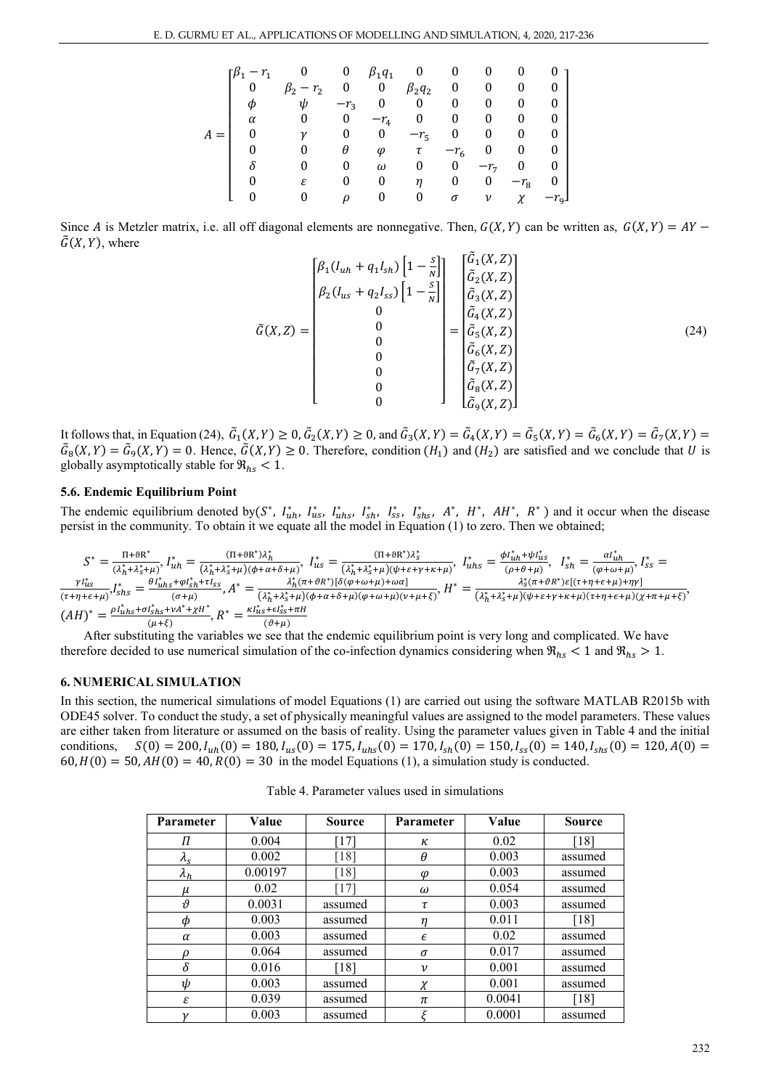|   | $5\beta_1 - r_1$ |        | 0        | $\beta_1 q_1$ | $\overline{\mathbf{0}}$ |          | 0     |        |          |
|---|------------------|--------|----------|---------------|-------------------------|----------|-------|--------|----------|
|   | 0                | $-r_2$ | 0        | $\mathbf{0}$  | $\beta_2 q_2$           | $\bf{0}$ | 0     | 0      | 0        |
|   | Φ                | ψ      | $-r_3$   | 0             | 0                       | 0        | 0     | 0      | $\Omega$ |
|   | $\alpha$         | 0      | 0        | $-r_4$        | 0                       | 0        | 0     | 0      | 0        |
| A |                  | γ      | 0        | 0             | $-r5$                   | $\bf{0}$ | 0     | 0      | 0        |
|   |                  | 0      | θ        | $\varphi$     | τ                       | $-r_6$   | 0     | 0      | 0        |
|   |                  |        | 0        | $\omega$      | 0                       | 0        | $-r7$ | 0      | 0        |
|   |                  | ε      | 0        | 0             | η                       | 0        | 0     | $-r_8$ | 0        |
|   |                  |        | $\Omega$ |               | 0                       | σ        | ν     | χ      | $-r_{9}$ |

Since A is Metzler matrix, i.e. all off diagonal elements are nonnegative. Then,  $G(X, Y)$  can be written as,  $G(X, Y) = AY - AY$  $\tilde{G}(X, Y)$ , where

$$
\tilde{G}(X,Z) = \begin{bmatrix} \beta_1(I_{uh} + q_1 I_{sh}) \left[ 1 - \frac{s}{N} \right] \\ \beta_2(I_{us} + q_2 I_{ss}) \left[ 1 - \frac{s}{N} \right] \\ 0 \\ 0 \\ 0 \\ 0 \\ 0 \\ 0 \end{bmatrix} = \begin{bmatrix} \tilde{G}_1(X,Z) \\ \tilde{G}_2(X,Z) \\ \tilde{G}_3(X,Z) \\ \tilde{G}_4(X,Z) \\ \tilde{G}_5(X,Z) \\ \tilde{G}_6(X,Z) \\ \tilde{G}_7(X,Z) \\ \tilde{G}_8(X,Z) \\ \tilde{G}_9(X,Z) \end{bmatrix}
$$
\n(24)

It follows that, in Equation (24),  $G_1(X, Y) \ge 0$ ,  $G_2(X, Y) \ge 0$ , and  $G_3(X, Y) = G_4(X, Y) = G_5(X, Y) = G_6(X, Y) = G_7(X, Y) =$  $G_8(X,Y) = G_9(X,Y) = 0$ . Hence,  $G(X,Y) \ge 0$ . Therefore, condition  $(H_1)$  and  $(H_2)$  are satisfied and we conclude that U is globally asymptotically stable for  $\Re_{hs} < 1$ .

#### **5.6. Endemic Equilibrium Point**

The endemic equilibrium denoted by( $S^*$ ,  $I_{uh}^*$ ,  $I_{us}^*$ ,  $I_{uhs}^*$ ,  $I_{sh}^*$ ,  $I_{ss}^*$ ,  $I_{shs}^*$ ,  $A^*$ ,  $A^*$ ,  $A^*$ ,  $A^*$ ,  $R^*$ ) and it occur when the disease persist in the community. To obtain it we equate all the model in Equation (1) to zero. Then we obtained;

$$
S^* = \frac{\Pi + \theta R^*}{(\lambda_h^* + \lambda_s^* + \mu)}, I_{uh}^* = \frac{(\Pi + \theta R^*)\lambda_h^*}{(\lambda_h^* + \lambda_s^* + \mu)(\phi + \alpha + \delta + \mu)}, I_{us}^* = \frac{(\Pi + \theta R^*)\lambda_s^*}{(\lambda_h^* + \lambda_s^* + \mu)(\psi + \varepsilon + \gamma + \kappa + \mu)}, I_{uhs}^* = \frac{\phi I_{uh}^* + \psi I_{us}^*}{(\rho + \theta + \mu)}, I_{SB}^* = \frac{\alpha I_{uh}^*}{(\rho + \omega + \mu)}, I_{SS}^* = \frac{\gamma I_{us}^*}{(\sigma + \omega + \mu)}, I_{SS}^* = \frac{\gamma I_{us}^*}{(\sigma + \mu)^*} \frac{\alpha I_{ub}^* + \beta I_{ss}^* + \gamma I_{ss}^*}{(\sigma + \mu)}, A^* = \frac{\lambda_h^*(\pi + \theta R^*)[\delta(\phi + \omega + \mu) + \omega \alpha]}{(\lambda_h^* + \lambda_s^* + \mu)(\phi + \alpha + \delta + \mu)(\phi + \omega + \mu)(\nu + \mu + \xi)}, H^* = \frac{\lambda_s^*(\pi + \theta R^*)\varepsilon[(\tau + \eta + \varepsilon + \mu) + \eta \gamma]}{(\lambda_h^* + \lambda_s^* + \mu)(\psi + \varepsilon + \gamma + \kappa + \mu)(\tau + \eta + \varepsilon + \mu)(\chi + \pi + \mu + \xi)},
$$
\n
$$
(AH)^* = \frac{\rho I_{uhs}^* + \sigma I_{shs}^* + \nu A^* + \chi H^*}{(\mu + \xi)}, R^* = \frac{\kappa I_{us}^* + \varepsilon I_{shs}^* + \pi H}{(\vartheta + \mu)} \frac{(\vartheta + \mu)}{(\vartheta + \mu)}
$$

 $A$  ( $\mu$ + $\kappa$ )<br>After substituting the variables we see that the endemic equilibrium point is very long and complicated. We have therefore decided to use numerical simulation of the co-infection dynamics considering when  $\Re_{hs}$  < 1 and  $\Re_{hs}$  > 1.

## **6. NUMERICAL SIMULATION**

In this section, the numerical simulations of model Equations (1) are carried out using the software MATLAB R2015b with ODE45 solver. To conduct the study, a set of physically meaningful values are assigned to the model parameters. These values are either taken from literature or assumed on the basis of reality. Using the parameter values given in Table 4 and the initial conditions,  $S(0) = 200, I_{uh}(0) = 180, I_{us}(0) = 175, I_{uhs}(0) = 170, I_{sh}(0) = 150, I_{ss}(0) = 140, I_{shs}(0) = 120, A(0) = 120$  $60, H(0) = 50, AH(0) = 40, R(0) = 30$  in the model Equations (1), a simulation study is conducted.

Table 4. Parameter values used in simulations

| Parameter                        | Value   | <b>Source</b> | Parameter          | Value  | <b>Source</b> |
|----------------------------------|---------|---------------|--------------------|--------|---------------|
| Π                                | 0.004   | [17]          | κ                  | 0.02   | [18]          |
| $\lambda_{\scriptscriptstyle S}$ | 0.002   | [18]          | θ                  | 0.003  | assumed       |
| $\lambda_h$                      | 0.00197 | [18]          | φ                  | 0.003  | assumed       |
| μ                                | 0.02    | $17^{-}$      | ω                  | 0.054  | assumed       |
| $\boldsymbol{\theta}$            | 0.0031  | assumed       | τ                  | 0.003  | assumed       |
| φ                                | 0.003   | assumed       | n                  | 0.011  | [18]          |
| α                                | 0.003   | assumed       | $\epsilon$         | 0.02   | assumed       |
| ρ                                | 0.064   | assumed       | $\sigma$           | 0.017  | assumed       |
| δ                                | 0.016   | [18]          | $\boldsymbol{\nu}$ | 0.001  | assumed       |
| ψ                                | 0.003   | assumed       |                    | 0.001  | assumed       |
| ε                                | 0.039   | assumed       | $\pi$              | 0.0041 | [18]          |
|                                  | 0.003   | assumed       |                    | 0.0001 | assumed       |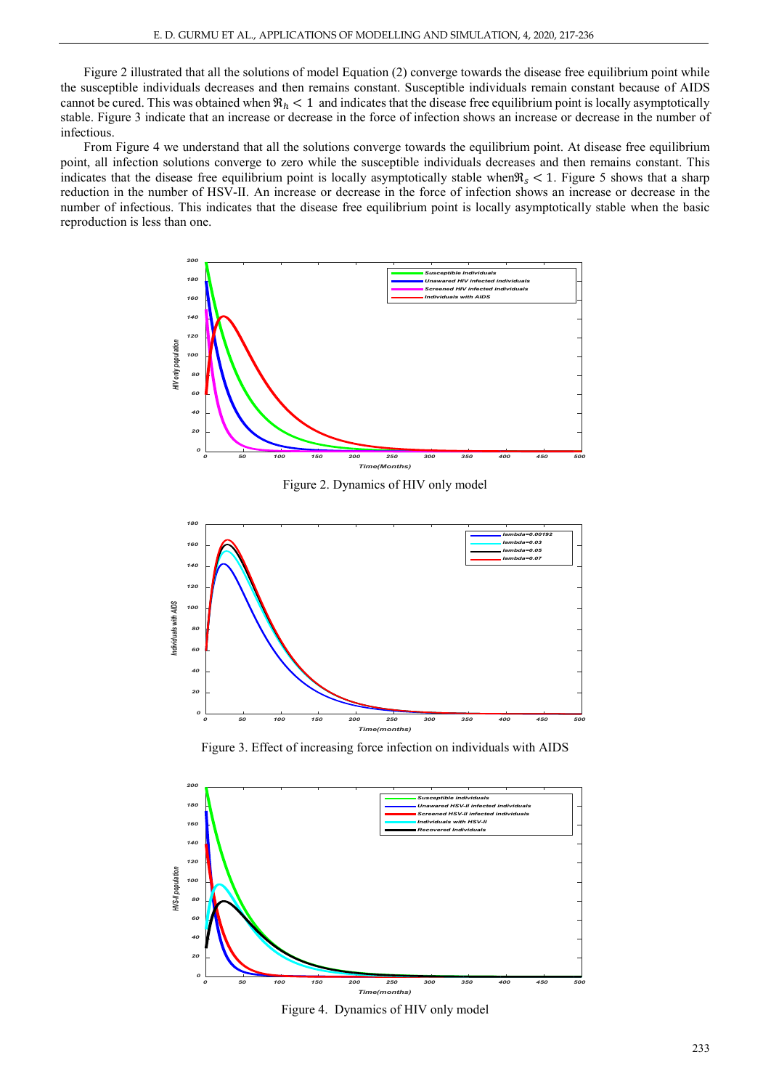Figure 2 illustrated that all the solutions of model Equation (2) converge towards the disease free equilibrium point while the susceptible individuals decreases and then remains constant. Susceptible individuals remain constant because of AIDS cannot be cured. This was obtained when  $\Re_h < 1$  and indicates that the disease free equilibrium point is locally asymptotically stable. Figure 3 indicate that an increase or decrease in the force of infection shows an increase or decrease in the number of infectious.

From Figure 4 we understand that all the solutions converge towards the equilibrium point. At disease free equilibrium point, all infection solutions converge to zero while the susceptible individuals decreases and then remains constant. This indicates that the disease free equilibrium point is locally asymptotically stable when $\Re s < 1$ . Figure 5 shows that a sharp reduction in the number of HSV-II. An increase or decrease in the force of infection shows an increase or decrease in the number of infectious. This indicates that the disease free equilibrium point is locally asymptotically stable when the basic reproduction is less than one.



Figure 2. Dynamics of HIV only model



Figure 3. Effect of increasing force infection on individuals with AIDS



Figure 4. Dynamics of HIV only model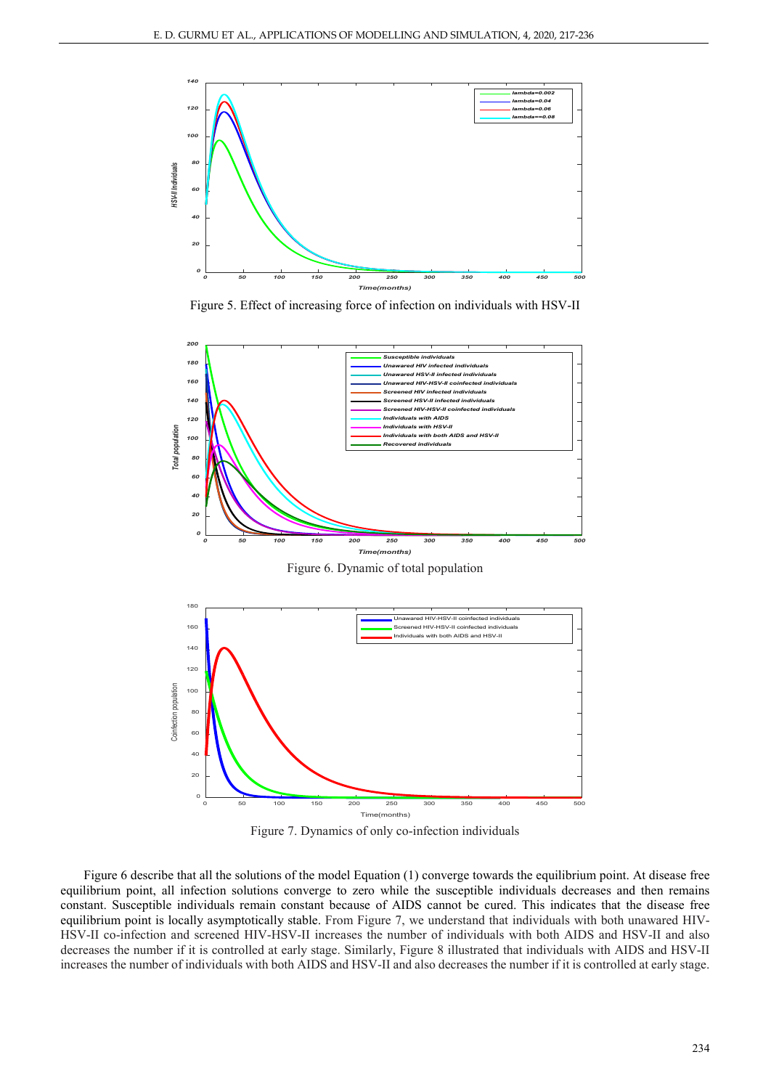

Figure 5. Effect of increasing force of infection on individuals with HSV-II



Figure 6. Dynamic of total population





Figure 6 describe that all the solutions of the model Equation (1) converge towards the equilibrium point. At disease free equilibrium point, all infection solutions converge to zero while the susceptible individuals decreases and then remains constant. Susceptible individuals remain constant because of AIDS cannot be cured. This indicates that the disease free equilibrium point is locally asymptotically stable. From Figure 7, we understand that individuals with both unawared HIV-HSV-II co-infection and screened HIV-HSV-II increases the number of individuals with both AIDS and HSV-II and also decreases the number if it is controlled at early stage. Similarly, Figure 8 illustrated that individuals with AIDS and HSV-II increases the number of individuals with both AIDS and HSV-II and also decreases the number if it is controlled at early stage.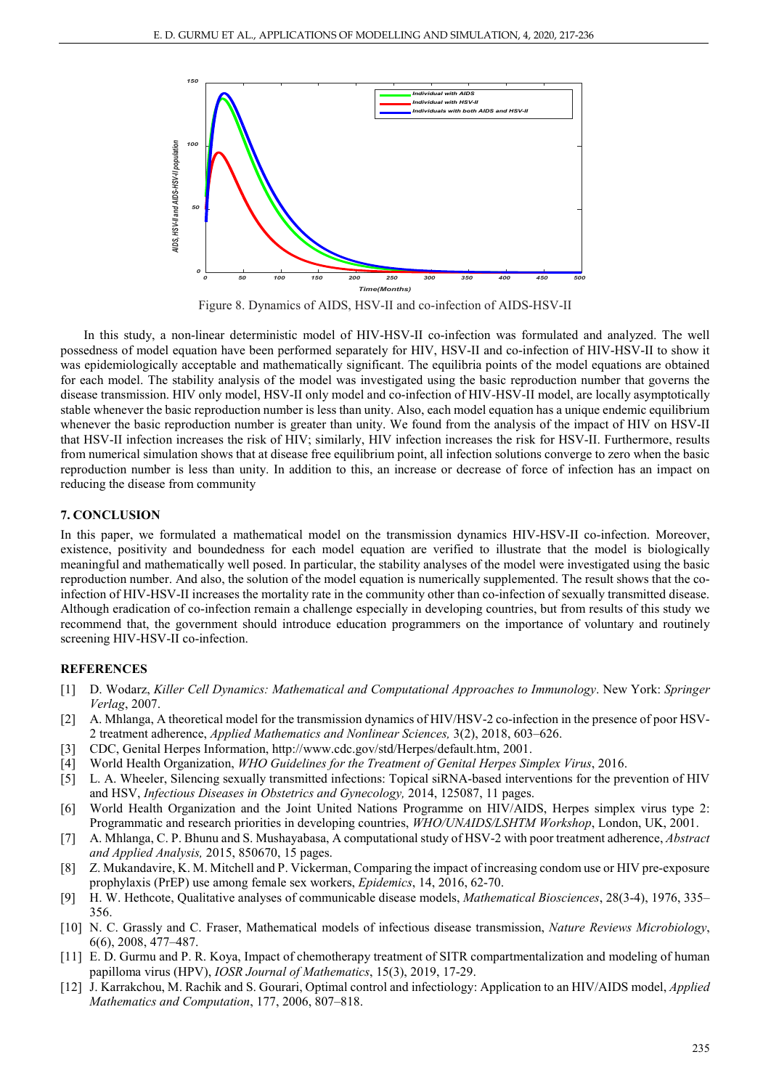

Figure 8. Dynamics of AIDS, HSV-II and co-infection of AIDS-HSV-II

In this study, a non-linear deterministic model of HIV-HSV-II co-infection was formulated and analyzed. The well possedness of model equation have been performed separately for HIV, HSV-II and co-infection of HIV-HSV-II to show it was epidemiologically acceptable and mathematically significant. The equilibria points of the model equations are obtained for each model. The stability analysis of the model was investigated using the basic reproduction number that governs the disease transmission. HIV only model, HSV-II only model and co-infection of HIV-HSV-II model, are locally asymptotically stable whenever the basic reproduction number is less than unity. Also, each model equation has a unique endemic equilibrium whenever the basic reproduction number is greater than unity. We found from the analysis of the impact of HIV on HSV-II that HSV-II infection increases the risk of HIV; similarly, HIV infection increases the risk for HSV-II. Furthermore, results from numerical simulation shows that at disease free equilibrium point, all infection solutions converge to zero when the basic reproduction number is less than unity. In addition to this, an increase or decrease of force of infection has an impact on reducing the disease from community

## **7. CONCLUSION**

In this paper, we formulated a mathematical model on the transmission dynamics HIV-HSV-II co-infection. Moreover, existence, positivity and boundedness for each model equation are verified to illustrate that the model is biologically meaningful and mathematically well posed. In particular, the stability analyses of the model were investigated using the basic reproduction number. And also, the solution of the model equation is numerically supplemented. The result shows that the coinfection of HIV-HSV-II increases the mortality rate in the community other than co-infection of sexually transmitted disease. Although eradication of co-infection remain a challenge especially in developing countries, but from results of this study we recommend that, the government should introduce education programmers on the importance of voluntary and routinely screening HIV-HSV-II co-infection.

# **REFERENCES**

- [1] D. Wodarz, *Killer Cell Dynamics: Mathematical and Computational Approaches to Immunology*. New York: *Springer Verlag*, 2007.
- [2] A. Mhlanga, A theoretical model for the transmission dynamics of HIV/HSV-2 co-infection in the presence of poor HSV-2 treatment adherence, *Applied Mathematics and Nonlinear Sciences,* 3(2), 2018, 603–626.
- [3] CDC, Genital Herpes Information, http://www.cdc.gov/std/Herpes/default.htm, 2001.
- [4] World Health Organization, *WHO Guidelines for the Treatment of Genital Herpes Simplex Virus*, 2016.
- [5] L. A. Wheeler, Silencing sexually transmitted infections: Topical siRNA-based interventions for the prevention of HIV and HSV, *Infectious Diseases in Obstetrics and Gynecology,* 2014, 125087, 11 pages.
- [6] World Health Organization and the Joint United Nations Programme on HIV/AIDS, Herpes simplex virus type 2: Programmatic and research priorities in developing countries, *WHO/UNAIDS/LSHTM Workshop*, London, UK, 2001.
- [7] A. Mhlanga, C. P. Bhunu and S. Mushayabasa, A computational study of HSV-2 with poor treatment adherence, *Abstract and Applied Analysis,* 2015, 850670, 15 pages.
- [8] Z. Mukandavire, K. M. Mitchell and P. Vickerman, Comparing the impact of increasing condom use or HIV pre-exposure prophylaxis (PrEP) use among female sex workers, *Epidemics*, 14, 2016, 62-70.
- [9] H. W. Hethcote, Qualitative analyses of communicable disease models, *Mathematical Biosciences*, 28(3-4), 1976, 335– 356.
- [10] N. C. Grassly and C. Fraser, Mathematical models of infectious disease transmission, *Nature Reviews Microbiology*, 6(6), 2008, 477–487.
- [11] E. D. Gurmu and P. R. Koya, Impact of chemotherapy treatment of SITR compartmentalization and modeling of human papilloma virus (HPV), *IOSR Journal of Mathematics*, 15(3), 2019, 17-29.
- [12] J. Karrakchou, M. Rachik and S. Gourari, Optimal control and infectiology: Application to an HIV/AIDS model, *Applied Mathematics and Computation*, 177, 2006, 807–818.